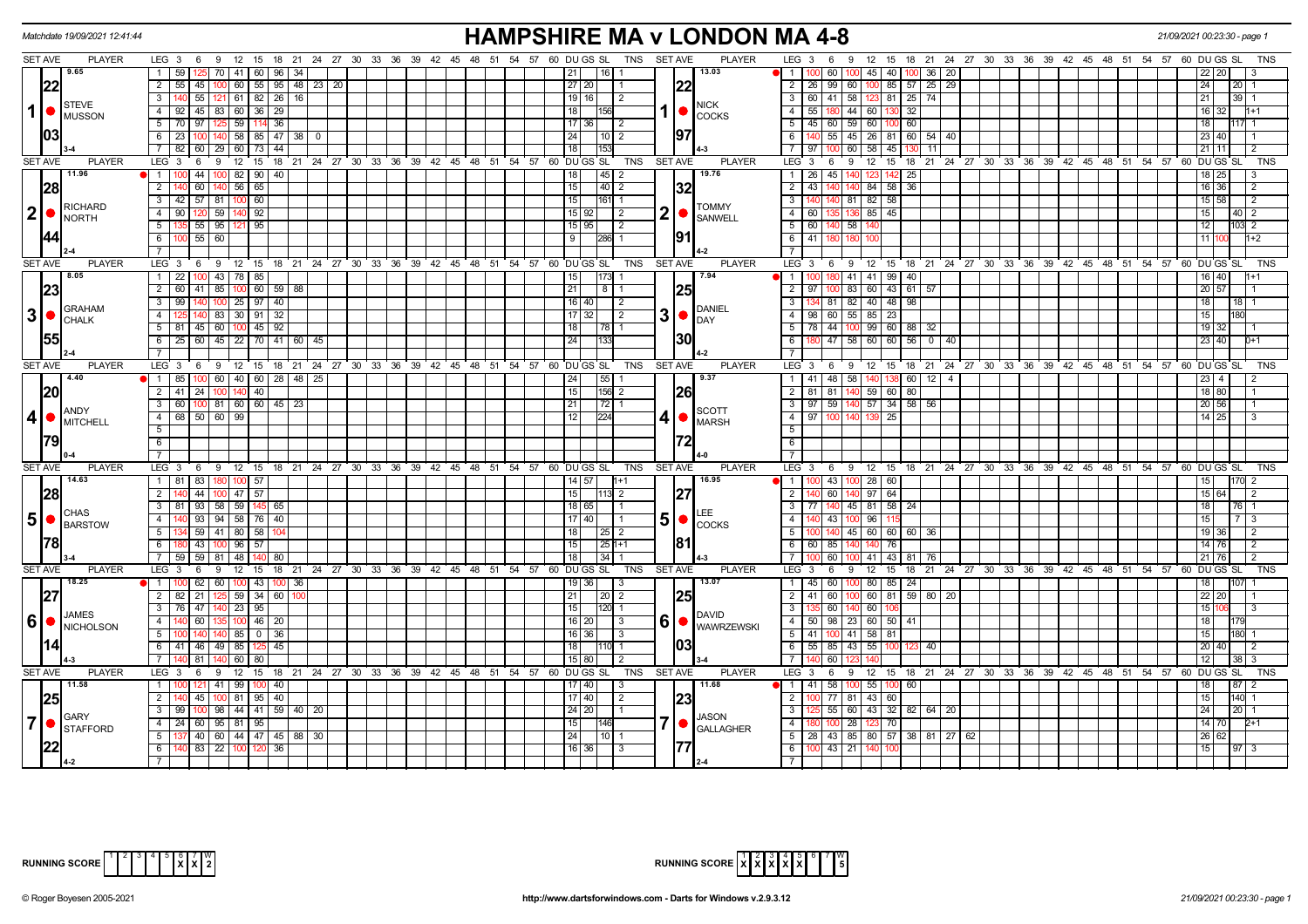|                | Matchdate 19/09/2021 12:41:44   |                                                         |                                                                      | <b>HAMPSHIRE MA v LONDON MA 4-8</b>                                                                |                                                                                        | 21/09/2021 00:23:30 - page 1 |
|----------------|---------------------------------|---------------------------------------------------------|----------------------------------------------------------------------|----------------------------------------------------------------------------------------------------|----------------------------------------------------------------------------------------|------------------------------|
|                | <b>SET AVE</b><br><b>PLAYER</b> |                                                         | LEG 3 6 9 12 15 18 21 24 27 30 33 36 39 42 45 48 51 54 57 60 DUGS SL | TNS SET AVE<br><b>PLAYER</b>                                                                       | LEG $3 \quad 6$<br>9 12 15 18 21 24 27 30 33 36 39 42 45 48 51 54 57 60 DUGSSL         | TNS                          |
|                | 9.65                            | 59<br>70   41   60   96  <br>-34                        |                                                                      | 13.03<br>  21  <br>l 16 I                                                                          | $\blacksquare$<br>100 45 40<br>60<br>100 36<br>20                                      |                              |
|                | 22                              | $\overline{2}$<br>$55$ 45 100<br>60   55   95   48   23 | 20                                                                   | 22<br> 27 20                                                                                       | 2   26   99   60   100   85   57   25  <br>29                                          | 24<br>20 <sub>1</sub>        |
|                |                                 | 61 82 26 16<br>$\overline{3}$<br>$55$   121             |                                                                      | $19$ 16<br>l 2                                                                                     | 3 60 41 58 123 81 25 74                                                                | 21<br>39                     |
| 1 <sup>1</sup> | STEVE<br><b>O</b> MUSSON        | $\overline{4}$<br>$92$ 45 83 60 36<br>29                |                                                                      | <b>NICK</b><br>18 I<br><b>COCKS</b>                                                                | $4 \mid 55$<br>$44 \mid 60 \mid$<br>32<br>130                                          | 16 I<br>l1+1<br>32.          |
|                |                                 | 5<br>70 97 125<br>59<br>114 36                          |                                                                      | 17   36  <br>l 2                                                                                   | 5   45   60   59   60   100<br>60                                                      | 18                           |
|                | 03                              | $6 \mid 23 \mid$<br>$140$ 58 85 47 38 0                 |                                                                      | 97<br>24<br>  10   2                                                                               | 6<br>140 55 45 26 81 60 54 40                                                          | 23 40                        |
|                |                                 | 7 82 60 29 60 73<br>44                                  |                                                                      |                                                                                                    | 7 97 100<br>60 58<br>45<br>11                                                          | $21$ 11                      |
|                | <b>SET AVE</b><br><b>PLAYER</b> | LEG 3<br>12<br>6<br>- 9<br>15                           | 18 21 24 27 30 33 36 39 42 45 48 51 54 57 60 DUGS SL                 | <b>SET AVE</b><br><b>PLAYER</b><br>TNS                                                             | LEG 3<br>12 15 18 21 24 27 30 33 36 39 42 45 48 51 54 57 60 DUGS SL<br>6<br>9          | TNS                          |
|                | 11.96                           | 1<br>44 100<br>82 90<br>40                              |                                                                      | 19.76<br> 45 2<br>18 <sup>1</sup>                                                                  | 1 26 45 140<br>25<br>123<br>142                                                        | $18$   25                    |
|                | 28                              | $\overline{2}$<br>60<br>56   65                         |                                                                      | 15 <br> 40 2<br> 32                                                                                | $\overline{2}$<br>43<br>84<br>58<br>36                                                 | 16 36<br>2                   |
|                |                                 | $\overline{3}$<br>42 57 81<br>60<br>1001                |                                                                      | 15 <br>161 1                                                                                       | 3 <sup>1</sup><br>82<br>81<br>58                                                       | 15 58<br>$\overline{2}$      |
| 2 ●            | RICHARD                         | 90 120 59 140 92<br>$\overline{4}$                      |                                                                      | <b>TOMMY</b><br>2 •<br>15 92 <br>l 2                                                               | 4 60 135<br>85<br>45                                                                   | 15<br>$40 \mid 2$            |
|                | <b>I</b> NORTH                  | 5<br>55   95  <br>95                                    |                                                                      | <b>SANWELL</b><br>$\vert$ 2<br>15 95                                                               | 5 6 6 1<br>58                                                                          | 12<br>103 2                  |
|                |                                 | 6<br>55<br>60                                           |                                                                      | 191<br>-9<br>286                                                                                   | $6 \mid 41$                                                                            | 11 <sup>1</sup><br>$1+2$     |
|                |                                 |                                                         |                                                                      |                                                                                                    | $\overline{7}$                                                                         |                              |
|                | <b>SET AVE</b><br><b>PLAYER</b> | $12 \quad 15$<br>LEG 3<br>9<br>-6                       | 18 21 24 27 30 33 36 39 42 45 48 51 54 57 60 DUGS SL                 | TNS<br><b>SET AVE</b><br><b>PLAYER</b>                                                             | LEG 3<br>12<br>18 21 24 27 30 33 36 39 42 45 48 51 54 57 60 DUGS SL<br>9<br>15<br>6    | <b>TNS</b>                   |
|                | 8.05                            | 100 43 78 85<br>1<br>22                                 |                                                                      | 15<br>$173$ 1<br>7.94                                                                              | 41 41 99<br>$\Box$<br>40                                                               | 16 40                        |
|                | 23                              | 2   60   41   85   100   60   59   88                   |                                                                      | 25 <br> 21 <br>  8   1                                                                             | $2 \mid 97 \mid$<br>83 60 43 61 57                                                     | 20 57                        |
|                |                                 | 140 100 25 97 40<br>$\overline{3}$<br>99                |                                                                      | $16$ 40<br>$\sqrt{2}$                                                                              | $\overline{3}$<br>81 82 40 48 98                                                       | 18<br> 18                    |
| 3              | <b>GRAHAM</b>                   | 83<br>32<br>$\Delta$<br>30   91                         |                                                                      | <b>DANIEL</b><br>$3$ $\bullet$ $\frac{10}{10}$ $\bullet$ $\frac{10}{10}$<br>1713<br>$\overline{2}$ | $55 \ 85$<br>23<br>4 I<br>98<br>60                                                     | 15                           |
|                | <b>CHALK</b>                    | 5 81 45 60<br>$100$ 45 92                               |                                                                      | 18<br>  78   1                                                                                     | 99 60 88 32<br>$5 \mid 78$<br>44                                                       | 19 32                        |
|                | <b>155</b>                      | 60 45 22 70 41<br>$6\overline{6}$<br>25                 | 60   45                                                              | 30 <br>133<br>24                                                                                   | 47<br>58 60 60<br>$56$ 0 40<br>6                                                       | 23 40<br>$D+1$               |
|                |                                 | $\overline{7}$                                          |                                                                      |                                                                                                    | $\overline{7}$                                                                         |                              |
|                | <b>SET AVE</b><br><b>PLAYER</b> | LEG <sub>3</sub><br>- 6                                 | 9 12 15 18 21 24 27 30 33 36 39 42 45 48 51 54 57 60 DUGS SL         | <b>PLAYER</b><br>TNS<br><b>SET AVE</b>                                                             | LEG <sub>3</sub><br>9 12 15 18 21 24 27 30 33 36 39 42 45 48 51 54 57 60 DUGSSL<br>- 6 | TNS                          |
|                | 4.40                            | 60   40   60   28<br>$1 \mid 85 \mid$                   | 48   25                                                              | 55<br>9.37<br>24                                                                                   | 1   41<br>48<br>58<br>60 I<br>12                                                       |                              |
|                | 20                              | 2 41 24 100 140 40                                      |                                                                      | $156$ 2<br> 26<br>15                                                                               | $2 \mid 81 \mid$<br> 81 <br>$59$ 60 80                                                 | 18 80                        |
|                |                                 | $\overline{3}$<br>60 T                                  |                                                                      | $\overline{21}$<br>$\sqrt{72}$ 1                                                                   | 140 57 34 58 56<br>$\overline{\phantom{a}3}$<br>$97$ 59                                | $20 \overline{56}$           |
| 4 <sup>1</sup> | <b>ANDY</b>                     | $\overline{4}$<br>68 50 60 99                           |                                                                      | <b>SCOTT</b><br>224<br>l 12 l<br>4 I I                                                             | $4 \mid 97$<br>25                                                                      | $14 \overline{25}$           |
|                | MITCHELL                        | $\overline{5}$                                          |                                                                      | MARSH                                                                                              | 5                                                                                      |                              |
|                | 79                              | 6                                                       |                                                                      |                                                                                                    | 6                                                                                      |                              |
|                |                                 | $\overline{7}$                                          |                                                                      |                                                                                                    | $\overline{7}$                                                                         |                              |
|                | <b>SET AVE</b><br><b>PLAYER</b> | LEG <sub>3</sub><br>69                                  | 12 15 18 21 24 27 30 33 36                                           | 39 42 45 48 51 54 57 60 DUGS SL<br><b>TNS</b><br><b>SET AVE</b><br><b>PLAYER</b>                   | $LEG_3$<br>9 12 15 18 21 24 27 30 33 36 39 42 45 48 51 54 57 60 DUGS SL<br>6           | TNS                          |
|                | 14.63                           | 1 81 83 180 100 57                                      |                                                                      | 16.95<br>$14 \mid 57$<br>$1 + 1$                                                                   | 1   100   43   100   28   60                                                           | 15 <sub>l</sub><br>170 2     |
|                | 28                              | $\overline{2}$<br>44<br>$47 \mid 57$                    |                                                                      | 15 <br> 27<br>$\sqrt{113}$ 2                                                                       | $\overline{2}$<br>60<br>97<br>64<br>140                                                | $15 \ 64$<br>2               |
|                |                                 | $\overline{3}$<br>81 93 58<br>59   145   65             |                                                                      | 18 65 <br>l 1                                                                                      | 3   77   140   45   81   58   24                                                       | -18<br>76 I                  |
| $5\bullet$     | <b>CHAS</b>                     | $93 \mid 94 \mid 58 \mid 76 \mid 40$<br>$\overline{4}$  |                                                                      | 17   40                                                                                            | 40 43 100 96<br>4 I                                                                    | 15 <sup>1</sup><br>-3        |
|                | <b>BARSTOW</b>                  | 5<br>$59$ 41<br>80 58                                   |                                                                      | 18 <br>  25   2                                                                                    | $5 \vert$<br>45 60 60 60 36<br>l 140                                                   | 19 36<br>$\overline{2}$      |
|                |                                 | 6<br>43 100<br>96<br>57                                 |                                                                      | 81<br>$25 1+1$                                                                                     | 6 60 85<br>76<br>140                                                                   | $14 \overline{76}$<br>2      |
|                |                                 | $7\phantom{0}$<br>-59  <br>59 81<br>48<br>80            |                                                                      | 18 <br>  34   1                                                                                    | $141$ 43 81 76<br>- 7 I<br>60                                                          | $\sqrt{21}$ 76<br>2          |
|                | <b>SET AVE</b><br><b>PLAYER</b> | LEG <sup>3</sup><br>$12 \quad 15$<br>6<br>9             | 18 21 24 27 30 33 36 39 42 45 48 51 54 57 60 DUGS SL                 | TNS<br>SET AVE<br><b>PLAYER</b>                                                                    | 12 15 18 21 24 27 30 33 36 39 42 45 48 51 54 57 60 DUGS SL<br>LEG 3<br>່ 9<br>6        | TNS                          |
|                | 18.25                           | $\overline{1}$<br>62<br>$100$ 43<br>36<br>60<br>100     |                                                                      | 13.07<br>$19$ 36<br>$\vert$ 3                                                                      | $100$ 80 85<br>$\overline{1}$<br>$45 \mid 60$<br>24                                    | 18                           |
|                | 27                              | $59 \mid 34 \mid 60$<br>2 82 21                         |                                                                      | 25<br> 21 <br>  20   2                                                                             | 60 81<br>2   41   60<br>$59$ 80 20                                                     | 22 20                        |
|                |                                 | 3 76 47 140 23 95                                       |                                                                      | 15 <br>120 1                                                                                       | $3 \mid 135$<br>140 60<br>l 60 l                                                       | 15                           |
| $6$ $\bullet$  | <b>JAMES</b>                    | $\overline{4}$<br>60<br>46<br>20                        |                                                                      | <b>DAVID</b><br>16 2                                                                               | 4 50 98<br>23 60 50 41                                                                 | 18                           |
|                | NICHOLSON                       | 5 <sup>5</sup><br>85 0<br>36                            |                                                                      | $6 \, \text{VWWRZEWSK}$<br>16 36<br>-3                                                             | $5 \mid 41$<br>41 58<br>81                                                             | 15<br>180 1                  |
|                |                                 | 41 46<br>49<br>6<br>85<br>45                            |                                                                      | 18                                                                                                 | 55<br>85<br>6<br>55<br>43<br>40                                                        | 20 40<br>2                   |
|                |                                 | $7\overline{ }$<br>81<br>60<br>80                       |                                                                      | 15 80<br>- 2                                                                                       | $\overline{7}$<br>60                                                                   | $12 \mid$                    |
|                | <b>SET AVE</b><br><b>PLAYER</b> | LEG <sub>3</sub><br>$12 \quad 15$<br>6<br>9             | 18 21 24 27 30 33 36 39 42 45 48 51 54 57 60 DUGS SL                 | <b>PLAYER</b><br>TNS<br>SET AVE                                                                    | LEG 3<br>9 12 15 18 21 24 27 30 33 36 39 42 45 48 51 54 57 60 DUGS SL<br>6             | <b>TNS</b>                   |
|                | 11.58                           | 1 <sup>1</sup><br>41<br>99<br>40                        |                                                                      | 11.68<br>-3                                                                                        | <b>1</b> 1 41<br>58<br>55                                                              |                              |
|                |                                 | $\overline{2}$<br>45<br>81   95<br>40                   |                                                                      | 17 40<br>$\overline{2}$                                                                            | $\overline{2}$<br>$\overline{77}$<br>81 43<br>60                                       | 15<br>140                    |
|                | 25                              | $\overline{3}$<br>44 41 59 40 20<br>98<br>99            |                                                                      | 23<br> 24 20<br>$\overline{1}$                                                                     | 32<br>$\mathbf{3}$<br>55<br>-60 I<br>43<br>82   64  <br>20                             | 24<br>201                    |
| $\overline{7}$ | <b>I</b> GARY                   | $\overline{4}$<br>24 60 95 81 95                        |                                                                      | JASON<br> 15 <br>146                                                                               | $\overline{4}$<br>$\overline{28}$                                                      | 14 70                        |
|                | <b>STAFFORD</b>                 | $\overline{5}$                                          |                                                                      | GALLAGHER<br>1011                                                                                  | 70<br>1231<br>5   28   43   85   80   57   38   81   27   62                           | $2+1$<br>26 62               |
|                | 1221                            | $140$ 60 44 47 45 88 30<br>6<br>83 22 100 120 36        |                                                                      | 24 <br>16 36                                                                                       | 6 100 43 21 140                                                                        | 15<br> 97                    |
|                |                                 | $\overline{7}$                                          |                                                                      | 3                                                                                                  |                                                                                        |                              |
|                |                                 |                                                         |                                                                      |                                                                                                    |                                                                                        |                              |



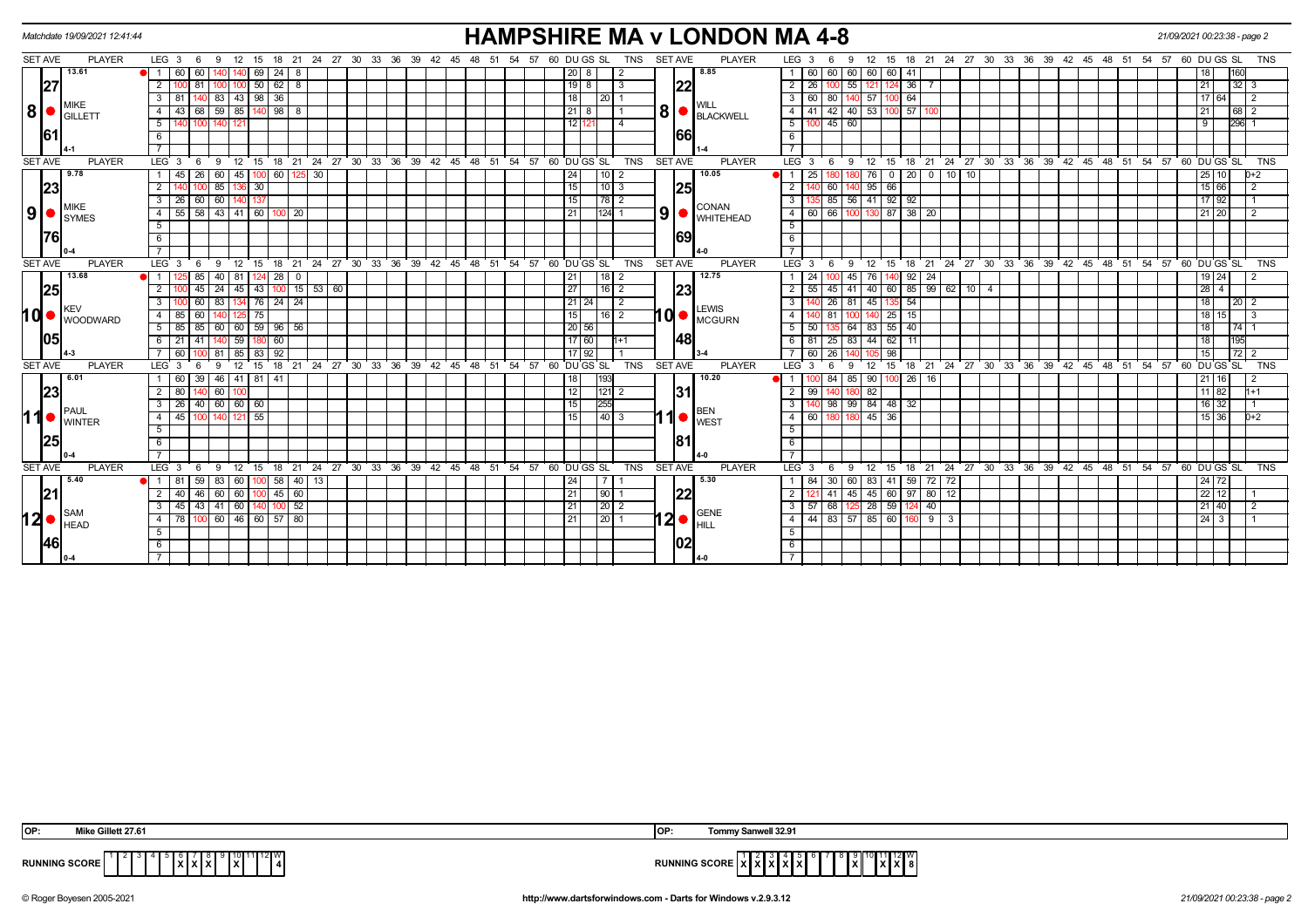|                | Matchdate 19/09/2021 12:41:44  |                                   |                                |               |                          |                 |                                                                       |  |  |                |  |          |                 |             |                               |            |                |     | <b>HAMPSHIRE MA v LONDON MA 4-8</b>                          |                    |                   |                                          |                                             |    |              |     |    |  |  |  |                                                            | 21/09/2021 00:23:38 - page 2 |             |                              |                   |                |
|----------------|--------------------------------|-----------------------------------|--------------------------------|---------------|--------------------------|-----------------|-----------------------------------------------------------------------|--|--|----------------|--|----------|-----------------|-------------|-------------------------------|------------|----------------|-----|--------------------------------------------------------------|--------------------|-------------------|------------------------------------------|---------------------------------------------|----|--------------|-----|----|--|--|--|------------------------------------------------------------|------------------------------|-------------|------------------------------|-------------------|----------------|
| <b>SET AVE</b> | <b>PLAYER</b>                  | $LEG_3 6$                         | - 9                            | 12 15         |                          |                 | 18  21  24  27  30  33  36  39  42  45  48  51  54  57  60  DU GS  SL |  |  |                |  |          |                 |             |                               | TNS        | <b>SET AVE</b> |     | <b>PLAYER</b>                                                |                    | LEG <sub>3</sub>  | - 6                                      | 9                                           |    |              |     |    |  |  |  | 12 15 18 21 24 27 30 33 36 39 42 45 48 51 54 57 60 DUGS SL |                              |             |                              |                   | TNS            |
|                | 13.61                          | 60                                | 60                             |               | 69<br>24                 | -8              |                                                                       |  |  |                |  |          |                 | 8           |                               |            |                |     | 8.85                                                         |                    | 60                | 60 60 60                                 |                                             |    | 60 41        |     |    |  |  |  |                                                            |                              |             |                              |                   |                |
|                | 27                             | 2                                 | 81                             |               | 50<br>62                 | 8               |                                                                       |  |  |                |  |          |                 | $19$ 8      |                               |            |                | 22  |                                                              | $\overline{2}$     | 26                |                                          | 55<br>121                                   |    | 36           |     |    |  |  |  |                                                            |                              |             | 21                           | $32 \mid 3$       |                |
|                |                                | 3<br>81                           | 140 83                         |               | $143$   98   36          |                 |                                                                       |  |  |                |  |          | 18              |             | 20 1                          |            |                |     |                                                              |                    | 3   60            | 80 140 57                                |                                             |    | 100 64       |     |    |  |  |  |                                                            |                              |             | 17 64                        |                   | $\overline{2}$ |
| 8              | MIKE<br><b>IGILLETT</b>        | $\overline{4}$                    | 59<br>68                       | 85            | 98                       | 8               |                                                                       |  |  |                |  |          |                 | $21$   8    |                               |            |                |     | <b>WILL</b><br>$\mathbf{B}$ $\bullet$ $\mathbf{B}$ Blackwell |                    | 4   41            |                                          | $42$ 40 53                                  |    | 57           |     |    |  |  |  |                                                            |                              |             | 21                           | $68$ 2            |                |
|                |                                | 5                                 | 100                            |               |                          |                 |                                                                       |  |  |                |  |          |                 | 12 121      | $\vert$ 4                     |            |                |     |                                                              | $5\vert$           |                   | 100 45 60                                |                                             |    |              |     |    |  |  |  |                                                            |                              |             | 9                            | $296$ 1           |                |
| 161            |                                | 6                                 |                                |               |                          |                 |                                                                       |  |  |                |  |          |                 |             |                               |            |                | 166 |                                                              | 6                  |                   |                                          |                                             |    |              |     |    |  |  |  |                                                            |                              |             |                              |                   |                |
|                |                                |                                   |                                |               |                          |                 |                                                                       |  |  |                |  |          |                 |             |                               |            |                |     |                                                              | $7^{\circ}$        |                   |                                          |                                             |    |              |     |    |  |  |  |                                                            |                              |             |                              |                   |                |
| <b>SET AVE</b> | <b>PLAYER</b>                  | LEG <sup>3</sup>                  | 6<br>- 9                       |               |                          |                 | 12 15 18 21 24 27 30 33 36 39 42 45 48 51 54 57 60 DUGS SL            |  |  |                |  |          |                 |             |                               | <b>TNS</b> | <b>SET AVE</b> |     | <b>PLAYER</b>                                                |                    | $LEG$ 3           | 6                                        | 12<br>-9                                    |    |              |     |    |  |  |  | 15 18 21 24 27 30 33 36 39 42 45 48 51 54 57 60 DUGS SL    |                              |             |                              |                   | <b>TNS</b>     |
|                | 9.78                           | 45                                | 26<br>$\sqrt{60}$              |               | 45   100   60   125   30 |                 |                                                                       |  |  |                |  |          | 24              |             | $110$   2                     |            |                |     | 10.05                                                        |                    | 25                |                                          | 76                                          |    | 0 20 0 10 10 |     |    |  |  |  |                                                            |                              |             | 25 10                        |                   | $0+2$          |
|                | 23                             |                                   | 85                             | 136 30        |                          |                 |                                                                       |  |  |                |  |          | 15              |             | 1013                          |            |                | 25  |                                                              | $\overline{2}$     |                   | 60                                       | 40 95                                       | 66 |              |     |    |  |  |  |                                                            |                              |             | 15 66                        |                   |                |
|                | <b>I</b> MIKE                  | 26<br>3                           | 60<br>60                       | 140 I         |                          |                 |                                                                       |  |  |                |  |          | 15 <sup>1</sup> |             |                               |            |                |     | <b>CONAN</b>                                                 | $\overline{3}$     |                   |                                          | $85 \mid 56 \mid 41$                        |    | $92$ 92      |     |    |  |  |  |                                                            |                              |             | 17 92                        |                   |                |
| 9 <sup>1</sup> | <b>SYMES</b>                   | 55<br>4                           | $58 \mid 43 \mid 41 \mid 60$   |               | 10 <sup>c</sup>          | $\overline{20}$ |                                                                       |  |  |                |  |          | 21              |             | 124  1                        |            |                |     | $\left  9 \right $ Whitehead                                 |                    |                   | 4 60 66 100 130 87 38 20                 |                                             |    |              |     |    |  |  |  |                                                            |                              |             | $21$ 20                      |                   | $\overline{2}$ |
|                |                                | 5                                 |                                |               |                          |                 |                                                                       |  |  |                |  |          |                 |             |                               |            |                |     |                                                              | 5                  |                   |                                          |                                             |    |              |     |    |  |  |  |                                                            |                              |             |                              |                   |                |
|                | <u> 1761</u>                   | 6                                 |                                |               |                          |                 |                                                                       |  |  |                |  |          |                 |             |                               |            |                | 69  |                                                              | 6                  |                   |                                          |                                             |    |              |     |    |  |  |  |                                                            |                              |             |                              |                   |                |
|                |                                | $\overline{7}$                    |                                |               |                          |                 |                                                                       |  |  |                |  |          |                 |             |                               |            |                |     |                                                              | $\overline{7}$     |                   |                                          |                                             |    |              |     |    |  |  |  |                                                            |                              |             |                              |                   |                |
| <b>SET AVE</b> | <b>PLAYER</b>                  | LEG <sub>3</sub>                  | 6<br><b>9</b>                  | 12 15         |                          |                 | 18 21 24 27 30 33 36 39 42 45 48 51 54 57 60 DUGS SL                  |  |  |                |  |          |                 |             |                               | <b>TNS</b> | <b>SET AVE</b> |     | <b>PLAYER</b>                                                | LEG <sup>'</sup> 3 |                   | 6                                        | $^{\circ}$ 12<br><b>9</b>                   |    |              |     |    |  |  |  | 15 18 21 24 27 30 33 36 39 42 45 48 51 54 57 60 DUGS SL    |                              |             |                              |                   | <b>TNS</b>     |
|                | 13.68                          | $\overline{1}$                    | 85<br>40                       | 81 I          | 28                       | $\mathbf{0}$    |                                                                       |  |  |                |  |          | 21              |             | 18   2                        |            |                |     | 12.75                                                        |                    | 24                |                                          | 76<br>45 I                                  |    | 92           | -24 |    |  |  |  |                                                            |                              |             | $19$ 24                      |                   |                |
|                | 25                             | $\overline{2}$                    | $45 \mid 24 \mid$              |               | 45 43 100                |                 | $15$ 53 60                                                            |  |  |                |  |          | 27              |             | $16$ 2                        |            |                | 23  |                                                              |                    | $2 \mid 55$       |                                          | $45$   41   40   60   85   99   62   10   4 |    |              |     |    |  |  |  |                                                            |                              |             | $28 \mid 4$                  |                   |                |
|                |                                | 3                                 | 83<br>60                       |               | 134 76 24                | $\sqrt{24}$     |                                                                       |  |  |                |  |          |                 | $21$   24   | $\overline{2}$                |            |                |     |                                                              |                    |                   | $26$ 81                                  | 45                                          |    | $-54$        |     |    |  |  |  |                                                            |                              |             | 18                           | $20 \overline{2}$ |                |
| hd•            | <b>IKEV</b><br><b>WOODWARD</b> | $\overline{4}$<br>85              | 60<br>14                       |               | 75                       |                 |                                                                       |  |  |                |  |          | 15              |             | 16 2                          |            |                |     | <b>LEWIS</b><br>10 MCGURN                                    | 4                  |                   | 81                                       | 140                                         |    | $25 \mid 15$ |     |    |  |  |  |                                                            |                              |             | $18$ 15                      |                   | l 3            |
|                |                                | $5 \mid 85$                       | 85<br>60                       |               | 60 59 96 56              |                 |                                                                       |  |  |                |  |          |                 | 20 56       |                               |            |                |     |                                                              | $5-1$              | 50                |                                          | 64 83 55 40                                 |    |              |     |    |  |  |  |                                                            |                              |             | 18                           | 74                |                |
|                | 1051                           | 6<br>21                           | 41                             | 59            | 60<br>180                |                 |                                                                       |  |  |                |  |          |                 | 17 60       | l1+1                          |            |                | 48  |                                                              |                    | $6 \mid 81$       |                                          | $25 \mid 83 \mid 44$                        |    | $62$ 11      |     |    |  |  |  |                                                            |                              |             | 18                           | 195               |                |
|                |                                | - 60                              | 81                             | 85 83         | 92                       |                 |                                                                       |  |  |                |  |          |                 | 17   92     |                               |            |                |     |                                                              |                    | 60                | 26                                       |                                             | 98 |              |     |    |  |  |  |                                                            |                              |             | 15                           | 72                |                |
| <b>SET AVE</b> | <b>PLAYER</b>                  | LEG <sub>3</sub>                  |                                | 12            | 18<br>15                 | 21              | 24 27 30 33 36 39                                                     |  |  | 42 45 48 51 54 |  | 57       |                 | 60 DU GS SL |                               | <b>TNS</b> | <b>SET AVE</b> |     | <b>PLAYER</b>                                                |                    | LEG <sup>3</sup>  | -6                                       | 12<br>9                                     | 15 |              |     |    |  |  |  | 18 21 24 27 30 33 36 39 42 45 48 51 54 57                  |                              | 60 DU GS SL |                              |                   | <b>TNS</b>     |
|                | 6.01                           | 60                                | 39<br>46                       | 41   81       | -41                      |                 |                                                                       |  |  |                |  |          | 18              |             | 193                           |            |                |     | 10.20                                                        |                    |                   | 84                                       | 90<br>85 I                                  |    | 26           | 16  |    |  |  |  |                                                            |                              |             | 21 16                        |                   |                |
|                | 23                             | 2<br>80                           | 60                             |               |                          |                 |                                                                       |  |  |                |  |          | 12              | 121         |                               |            |                | 131 |                                                              | $\overline{2}$     | 99                |                                          | 82                                          |    |              |     |    |  |  |  |                                                            |                              |             | $11 \ 82$                    |                   | $1+1$          |
|                | PAUL                           | $3$   26   40   60   60   60      |                                |               |                          |                 |                                                                       |  |  |                |  |          | 15 <sup>1</sup> |             | 255                           |            |                |     | <b>BEN</b>                                                   | $\overline{3}$     |                   | 98 99 84 48 32                           |                                             |    |              |     |    |  |  |  |                                                            |                              |             | $16 \mid 32$                 |                   |                |
| 11             | <b>I</b> WINTER                | $\overline{4}$<br>45              | 100                            |               | 55                       |                 |                                                                       |  |  |                |  |          | 15 <sup>1</sup> |             | $\sqrt{40}$   3               |            |                |     | $\blacksquare$ 1 $\blacksquare$                              |                    | $4 \overline{60}$ |                                          | 45                                          | 36 |              |     |    |  |  |  |                                                            |                              |             | 15 36                        |                   | 0+2            |
|                |                                | 5                                 |                                |               |                          |                 |                                                                       |  |  |                |  |          |                 |             |                               |            |                |     |                                                              | 5                  |                   |                                          |                                             |    |              |     |    |  |  |  |                                                            |                              |             |                              |                   |                |
|                | 25                             | 6                                 |                                |               |                          |                 |                                                                       |  |  |                |  |          |                 |             |                               |            |                | 181 |                                                              | 6                  |                   |                                          |                                             |    |              |     |    |  |  |  |                                                            |                              |             |                              |                   |                |
|                |                                |                                   |                                |               |                          |                 |                                                                       |  |  |                |  |          |                 |             |                               |            |                |     |                                                              |                    |                   |                                          |                                             |    |              |     |    |  |  |  |                                                            |                              |             |                              |                   |                |
| <b>SET AVE</b> | <b>PLAYER</b>                  | LEG 3                             | - 6<br>- 9                     | $12 \quad 15$ |                          |                 | 18 21 24 27 30 33 36 39                                               |  |  | 42  45  48  51 |  | 54<br>57 |                 | 60 DU GS SL |                               | <b>TNS</b> | <b>SET AVE</b> |     | <b>PLAYER</b>                                                |                    | LEG <sub>3</sub>  | - 6                                      | 12<br>-9                                    |    |              |     |    |  |  |  | 15 18 21 24 27 30 33 36 39 42 45 48 51 54 57 60 DUGS SL    |                              |             |                              |                   | TNS            |
|                | 5.40                           |                                   | 59<br>83                       | -60 I         | 58<br>100 I              |                 | 40   13                                                               |  |  |                |  |          | 24              |             |                               |            |                |     | 5.30                                                         |                    | 84                | 30                                       | 83<br>60 I                                  |    | 41   59      | 72  | 72 |  |  |  |                                                            |                              |             | 24 72                        |                   |                |
|                | 21                             | $\overline{2}$<br>40 <sup>1</sup> | 46<br>60                       |               | 60 100 45 60             |                 |                                                                       |  |  |                |  |          | 21              |             | 90 1                          |            |                | 22  |                                                              | 2 <sup>1</sup>     |                   | 41                                       | $145$ 45                                    |    | 60 97 80 12  |     |    |  |  |  |                                                            |                              |             | $22$ 12                      |                   |                |
|                | ∥SAM                           | $\mathbf{3}$<br>45                | $43 \mid 41$                   | 60   140      |                          | 52              |                                                                       |  |  |                |  |          | 21              |             | $\left  \frac{20}{2} \right $ |            |                |     | <b>GENE</b>                                                  |                    |                   | $3 \mid 57 \mid 68 \mid 125 \mid 28$     |                                             |    | $59 \mid 1$  | 40  |    |  |  |  |                                                            |                              |             | $21 \, 40$                   |                   | 2              |
| 12 <sup></sup> | <b>HEAD</b>                    | 4 78                              | $100 \ 60 \ 46 \ 60 \ 57 \ 80$ |               |                          |                 |                                                                       |  |  |                |  |          | 21              |             | 20 1                          |            |                |     | $ 2  \bullet  ^\text{\tiny{GENB}}_\text{\tiny{HILL}}$        |                    |                   | 4   44   83   57   85   60   160   9   3 |                                             |    |              |     |    |  |  |  |                                                            |                              |             | $24 \overline{\phantom{0}3}$ |                   |                |
|                |                                | 5                                 |                                |               |                          |                 |                                                                       |  |  |                |  |          |                 |             |                               |            |                |     |                                                              | 5                  |                   |                                          |                                             |    |              |     |    |  |  |  |                                                            |                              |             |                              |                   |                |
|                | 46                             | 6                                 |                                |               |                          |                 |                                                                       |  |  |                |  |          |                 |             |                               |            |                | 102 |                                                              | 6                  |                   |                                          |                                             |    |              |     |    |  |  |  |                                                            |                              |             |                              |                   |                |
|                |                                |                                   |                                |               |                          |                 |                                                                       |  |  |                |  |          |                 |             |                               |            |                |     |                                                              |                    |                   |                                          |                                             |    |              |     |    |  |  |  |                                                            |                              |             |                              |                   |                |

| IOP:                 | . <b>. .</b> | <b>IOP</b>                                                                      | well 32.9 <sup>2</sup> |
|----------------------|--------------|---------------------------------------------------------------------------------|------------------------|
| <b>RUNNING SCORE</b> |              | the contract of the contract of the contract of the contract of the contract of | 12 W<br>$\mathbf{r}$   |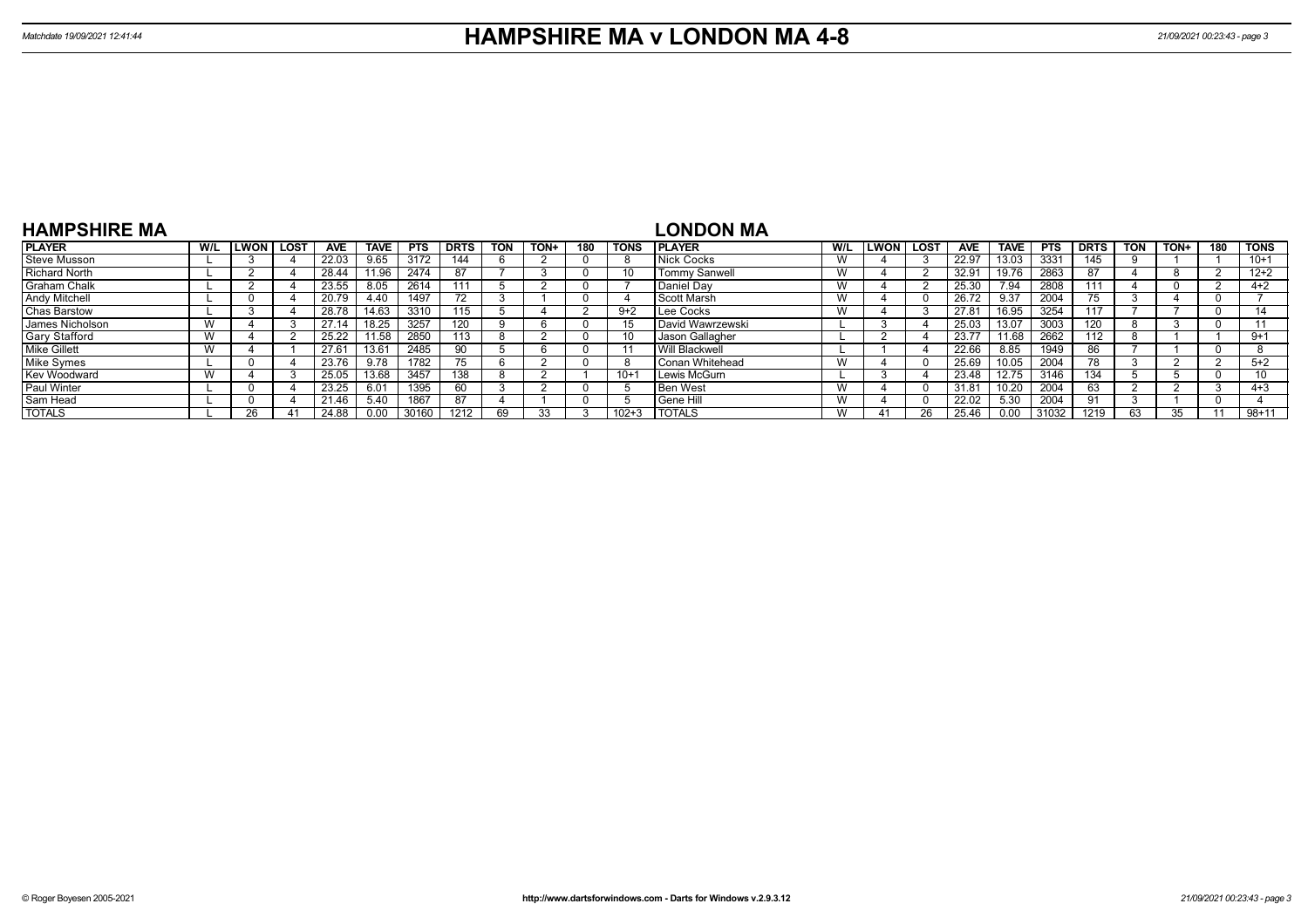| <b>HAMPSHIRE MA</b>  |     |              |      |            |             |            |             |            |      |     |             | LONDON MA             |     |             |      |            |             |       |             |            |      |     |             |
|----------------------|-----|--------------|------|------------|-------------|------------|-------------|------------|------|-----|-------------|-----------------------|-----|-------------|------|------------|-------------|-------|-------------|------------|------|-----|-------------|
| <b>PLAYER</b>        | W/L | <b>ILWON</b> | LOST | <b>AVE</b> | <b>TAVE</b> | <b>PTS</b> | <b>DRTS</b> | <b>TON</b> | TON+ | 180 | <b>TONS</b> | <b>IPLAYER</b>        | W/L | <b>LWON</b> | LOST | <b>AVE</b> | <b>TAVE</b> | PTS   | <b>DRTS</b> | <b>TON</b> | TON+ | 180 | <b>TONS</b> |
| <b>Steve Musson</b>  |     |              |      | 22.03      | 9.65        | 3172       | 144         |            |      |     | 8           | Nick Cocks            | W   |             |      | 22.97      | 13.03       | 333'  | 145         |            |      |     | $10+1$      |
| <b>Richard North</b> |     |              |      | 28.44      | 1.96        | 2474       | 87          |            |      |     | 10          | <b>Tommy Sanwell</b>  | W   |             |      | 32.91      | 19.76       | 2863  |             |            |      |     | $12 + 2$    |
| <b>Graham Chalk</b>  |     |              |      | 23.55      | 8.05        | 2614       |             |            |      |     |             | Daniel Dav            | W   |             |      | 25.30      | 7.94        | 2808  | 111         |            |      |     | $4+2$       |
| <b>Andy Mitchell</b> |     |              |      | 20.79      | 4.40        | 1497       |             |            |      |     |             | Scott Marsh           | W   |             |      | 26.72      | 9.37        | 2004  | 75          |            |      |     |             |
| Chas Barstow         |     |              |      | 28.78      | 14.63       | 3310       | 115         |            |      |     | $9+2$       | Lee Cocks             | W   |             |      | 27.81      | 16.95       | 3254  |             |            |      |     |             |
| James Nicholson      |     |              |      | 27.14      | 18.25       | 3257       |             |            |      |     | 15          | David Wawrzewski      |     |             |      | 25.03      | 13.07       | 3003  | 120         |            |      |     |             |
| <b>Gary Stafford</b> |     |              |      | 25.22      | 1.58        | 2850       | 113         |            |      |     |             | Jason Gallagher       |     |             |      | 23.77      | 1.68        | 2662  | 112         |            |      |     | $9 + 1$     |
| <b>Mike Gillett</b>  |     |              |      | 27.61      |             | 2485       | 90          |            |      |     |             | <b>Will Blackwell</b> |     |             |      | 22.66      | 8.85        | 1949  | 86          |            |      |     |             |
| Mike Symes           |     |              |      | 23.76      | 9.78        | 1782       |             |            |      |     | -8          | I Conan Whitehead     | W   |             |      | 25.69      | 10.05       | 2004  | 78.         |            |      |     | $5+2$       |
| Kev Woodward         |     |              |      | 25.05      | 13.68       | 3457       | 138         |            |      |     | $10+$       | Lewis McGurn          |     |             |      | 23.48      | 12.75       | 3146  | 134         |            |      |     | 10          |
| <b>Paul Winter</b>   |     |              |      | 23.25      | 6.01        | 1395       | 60          |            |      |     |             | <b>Ben West</b>       | W   |             |      | 31.81      | 10.20       | 2004  | 63          |            |      |     | $4 + 3$     |
| Sam Head             |     |              |      | 21.46      | 5.40        | 1867       | 87          |            |      |     |             | <b>Sene Hill</b>      | W   |             |      | 22.02      | 5.30        | 2004  |             |            |      |     |             |
| <b>TOTALS</b>        |     | 26           |      | 24.88      | 0.00        | 30160      | 1212        | 69         |      |     | $102 + 3$   | <b>I TOTALS</b>       | W   |             | 26   | 25.46      | 0.00        | 31032 | 1219        | 63         |      |     | $98 + 11$   |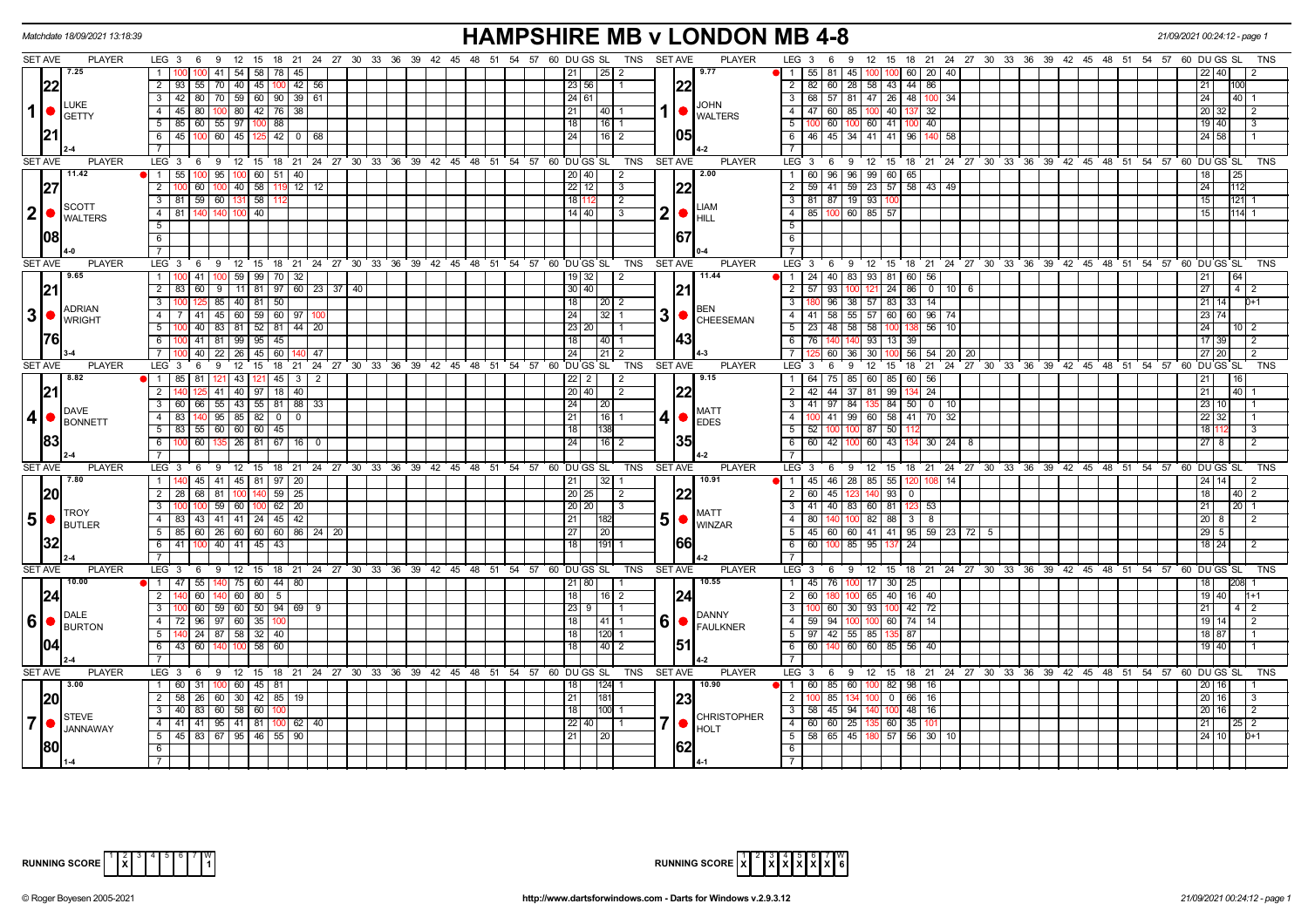| Matchdate 18/09/2021 13:18:39              |               |                                                                                                                 |                                       |           |                  |                |  |  |                                                                  |                            |                       |                |      | <b>HAMPSHIRE MB v LONDON MB 4-8</b> | 21/09/2021 00:24:12 - page                                                                                                                               |
|--------------------------------------------|---------------|-----------------------------------------------------------------------------------------------------------------|---------------------------------------|-----------|------------------|----------------|--|--|------------------------------------------------------------------|----------------------------|-----------------------|----------------|------|-------------------------------------|----------------------------------------------------------------------------------------------------------------------------------------------------------|
| <b>SET AVE</b>                             | <b>PLAYER</b> | LEG 3 6 9 12 15 18 21 24 27 30 33 36 39 42 45 48 51 54 57 60 DUGS SL TNS SETAVE                                 |                                       |           |                  |                |  |  |                                                                  |                            |                       |                |      | <b>PLAYER</b>                       | $LEG_36$<br>9 12 15 18 21 24 27 30 33 36 39 42 45 48 51 54 57 60 DUGSSL<br>TNS                                                                           |
| 7.25                                       |               | $1 \quad 1$                                                                                                     | 41 54 58                              | 78        | 45               |                |  |  |                                                                  | 211                        |                       |                |      | 9.77                                | $\blacksquare$ 1   55   81<br>45   100   100   60   20   40<br>22 40                                                                                     |
| 22                                         |               | 2 93                                                                                                            | 55   70   40   45   100   42   56     |           |                  |                |  |  |                                                                  | 23 56                      |                       |                |      |                                     | 2   82   60   28   58   43   44   86<br>21<br>100                                                                                                        |
| <b>LUKE</b>                                |               | $3   42   80   70   59   60   90   39   61$                                                                     |                                       |           |                  |                |  |  |                                                                  | 24 61                      |                       |                |      | <b>JOHN</b>                         | 3   68   57   81   47   26   48   100   34<br>24<br> 40                                                                                                  |
| $\mathbf 1$<br><b>GETTY</b>                |               | $45 \ 80$<br>$\overline{4}$                                                                                     | 100 80 42 76 38                       |           |                  |                |  |  |                                                                  | 211<br> 40 1               |                       | 1  ●           |      | <b>WALTERS</b>                      | 4   47   60   85   100   40   137   32<br>20 32<br>-2                                                                                                    |
|                                            |               | $5 \mid 85 \mid 60 \mid 55 \mid 97 \mid 100 \mid 88$                                                            |                                       |           |                  |                |  |  |                                                                  | 18<br> 16 1                |                       |                |      |                                     | 5 100 60 100 60 41 100 40<br>19 40<br>3                                                                                                                  |
|                                            |               | 6 45 100 60 45 125 42 0 68                                                                                      |                                       |           |                  |                |  |  |                                                                  | 24<br> 16 2                |                       |                | 105  |                                     | 6   46   45   34   41   41   96   140   58<br>24 58                                                                                                      |
|                                            |               |                                                                                                                 |                                       |           |                  |                |  |  |                                                                  |                            |                       |                |      |                                     | $\overline{7}$                                                                                                                                           |
| <b>SET AVE</b>                             | <b>PLAYER</b> | LEG <sub>3</sub>                                                                                                |                                       |           |                  |                |  |  | 6 9 12 15 18 21 24 27 30 33 36 39 42 45 48 51 54 57 60 DUGS SL   |                            | <b>TNS</b>            | <b>SET AVE</b> |      | <b>PLAYER</b>                       | $LEG_3$ 6<br>9 12 15 18 21 24 27 30 33 36 39 42 45 48 51 54 57 60 DUGS SL<br>TNS                                                                         |
| 11.42                                      |               | $1 \quad 55$                                                                                                    | 100 95 100 60 51 40                   |           |                  |                |  |  |                                                                  | 20 40                      | l 2                   |                |      | 2.00                                | 1 60 96 96 99 60 65<br>18 <sup>1</sup><br>25                                                                                                             |
|                                            |               | $\overline{2}$<br>60                                                                                            | $100$ 40 58                           | 11!       | $12 \mid 12$     |                |  |  |                                                                  | $22$   12                  | $\sqrt{3}$            |                |      |                                     | 2   59   41   59   23   57   58   43   49<br>24<br>112                                                                                                   |
| <b>SCOTT</b>                               |               | 3 81 59 60 131 58                                                                                               |                                       |           |                  |                |  |  |                                                                  | 18 112                     | l 2                   |                |      | <b>LIAM</b>                         | 3 81 87 19 93 100<br>15<br>12111                                                                                                                         |
| 2 <sub>l</sub><br><b>O</b> WALTERS         |               | 4 81 140 140 100 40                                                                                             |                                       |           |                  |                |  |  |                                                                  | 14   40                    | $\sqrt{3}$            | 2 •            |      | <b>HILL</b>                         | 4 85 100 60 85 57<br>15<br>114 1                                                                                                                         |
|                                            |               | 5                                                                                                               |                                       |           |                  |                |  |  |                                                                  |                            |                       |                |      |                                     | 5 <sup>1</sup>                                                                                                                                           |
| 1081                                       |               | 6                                                                                                               |                                       |           |                  |                |  |  |                                                                  |                            |                       |                | 167  |                                     | 6                                                                                                                                                        |
|                                            |               |                                                                                                                 |                                       |           |                  |                |  |  |                                                                  |                            |                       |                |      |                                     | $\overline{7}$                                                                                                                                           |
| <b>SET AVE</b><br>9.65                     | <b>PLAYER</b> | LEG 3<br>6<br>$\overline{1}$                                                                                    | 41   100   59   99   70   32          |           |                  |                |  |  | 9 12 15 18 21 24 27 30 33 36 39 42 45 48 51 54 57 60 DUGS SL     |                            | TNS<br>$\overline{2}$ | SET AVE        |      | <b>PLAYER</b><br>11.44              | 6 9 12 15 18 21 24 27 30 33 36 39 42 45 48 51 54 57 60 DUGS SL<br>LEG <sup>3</sup><br><b>TNS</b><br>  1   24   40   83   93   81   60   56  <br>21<br>64 |
|                                            |               | $2 \mid 83 \mid$<br>60 T                                                                                        | 9   11   81   97   60   23   37   40  |           |                  |                |  |  |                                                                  | $19$ 32<br> 30 40          |                       |                |      |                                     | $100$ 121 24 86 0 10 6<br>27<br>93<br>$14$ 2<br>$2 \mid 57$                                                                                              |
| 21                                         |               | $\overline{3}$                                                                                                  | 125 85 40 81 50                       |           |                  |                |  |  |                                                                  | 18                         |                       |                | 21   |                                     | 3   180   96   38   57   83   33   14  <br>$21 \mid 14 \mid$<br>$D+1$                                                                                    |
| <b>ADRIAN</b><br>3                         |               | $\overline{4}$                                                                                                  | $41 \mid 45 \mid 60 \mid 59 \mid 60$  |           | 97               |                |  |  |                                                                  | 24<br>  32   1             |                       | 3 •            |      | <b>BEN</b>                          | 58 55 57 60 60 96 74<br>$4 \mid 41$<br>23 74                                                                                                             |
| <b>N</b> WRIGHT                            |               | 5                                                                                                               | 40   83   81   52   81                |           | $44$   20        |                |  |  |                                                                  | 23 20                      |                       |                |      | <b>CHEESEMAN</b>                    | $5 \mid 23$<br>48<br>58 58<br>24<br>56<br>10<br>$10$   2                                                                                                 |
| 1761                                       |               | 6                                                                                                               | 41 81 99 95 45                        |           |                  |                |  |  |                                                                  | 18 <sup>1</sup><br>14011   |                       |                | 143  |                                     | 6 I<br>76<br>140 93 13 39<br>$17$ 39<br>$\sqrt{2}$                                                                                                       |
|                                            |               |                                                                                                                 | 40 22 26 45 60                        |           |                  | 47             |  |  |                                                                  | 24<br>l 21 I 2             |                       |                |      |                                     | 56<br>27 20<br>7 <sup>1</sup><br>60<br>36 30<br>54<br>  20  <br>- 20<br>$\mathcal{P}$                                                                    |
| <b>SET AVE</b>                             | <b>PLAYER</b> | LEG <sub>3</sub><br>6                                                                                           | $12^{-}$<br>9                         | 15        |                  |                |  |  | 18 21 24 27 30 33 36 39 42 45 48 51 54 57                        | 60 DU GS SL                | TNS                   | <b>SET AVE</b> |      | <b>PLAYER</b>                       | LEG 3<br>12  15  18  21  24  27  30  33  36  39  42  45  48  51  54  57  60  DUGS SL<br>TNS<br>6<br>9                                                    |
| 8.82                                       |               | 1 85<br>81                                                                                                      | 43                                    | 1211      | $45 \mid 3 \mid$ | $\overline{2}$ |  |  |                                                                  | 22   2                     | l 2                   |                |      | 9.15                                | 75   85   60   85   60   56<br>1 I<br>64<br>21<br>16                                                                                                     |
|                                            |               | $2 \mid 1$                                                                                                      | 41   40   97   18   40                |           |                  |                |  |  |                                                                  | 20   40                    | l 2                   |                |      |                                     | 2   42   44   37   81   99   134   24<br>21<br>40                                                                                                        |
|                                            |               | 3<br>60<br>66                                                                                                   | 55   43   55   81   88                |           |                  | 33             |  |  |                                                                  | 24                         |                       |                |      |                                     | $\overline{\phantom{a}3}$<br>41<br>97<br>84 135 84 50 0<br>$23 \mid 10$<br>10                                                                            |
| DAVE<br>$\vert$<br>BONNETT                 |               | $4 \mid 83$                                                                                                     | 140 95 85 82 0                        |           | $\overline{0}$   |                |  |  |                                                                  | 21<br>$\sqrt{16}$ 1        |                       | 41●            |      | MATT<br><b>EDES</b>                 | $100$ 41 99 60 58 41 70 32<br>$22 \mid 32$<br>$-4$                                                                                                       |
|                                            |               | 5<br>83                                                                                                         | $55$ 60 60 60 45                      |           |                  |                |  |  |                                                                  | 18<br>138                  |                       |                |      |                                     | 52<br>100 87 50<br>181<br>$5\vert$<br>$\overline{\mathbf{3}}$                                                                                            |
| 83                                         |               | $6 \overline{100}$                                                                                              | 60   135   26   81   67               |           | 16               |                |  |  |                                                                  | 24 <sup>1</sup><br>116 I 2 |                       |                | 135  |                                     | 100 60 43<br>$\sqrt{42}$<br>$27$ 8<br>- 6 I<br>60<br>$134$ 30   24<br>- 8<br>2                                                                           |
|                                            |               |                                                                                                                 |                                       |           |                  |                |  |  |                                                                  |                            |                       |                |      |                                     |                                                                                                                                                          |
| <b>SET AVE</b>                             | <b>PLAYER</b> | LEG <sub>3</sub><br>6                                                                                           | -9                                    |           |                  |                |  |  | 12 15 18 21 24 27 30 33 36 39 42 45 48 51 54 57 60 DUGS SL       |                            | <b>TNS</b>            | <b>SET AVE</b> |      | <b>PLAYER</b>                       | $LEG_3$ 6<br><b>9</b><br>12 15 18 21 24 27 30 33 36 39 42 45 48 51 54 57 60 DUGS SL<br><b>TNS</b>                                                        |
| 7.80                                       |               | 1 140                                                                                                           | 45 41 45 81 97 20                     |           |                  |                |  |  |                                                                  | 21<br>l 32 l               |                       |                |      | 10.91                               | $1 \mid 45 \mid 46 \mid 28 \mid 85 \mid 55 \mid 120 \mid 108$<br>14<br>24 14<br>2                                                                        |
| 20                                         |               | $\overline{2}$<br>68<br>l 28                                                                                    | 81                                    | 59<br>140 | 25               |                |  |  |                                                                  | 20 25                      | l 2                   |                |      |                                     | 93<br>$\overline{2}$<br>60<br>45<br>18<br>140<br>$\overline{0}$<br>40 2                                                                                  |
| TROY                                       |               | 3                                                                                                               | $59 \mid 60 \mid 100 \mid 62 \mid 20$ |           |                  |                |  |  |                                                                  | 20 20                      | $\vert$ 3             |                |      | <b>MATT</b>                         | 21<br>3   41   40   83   60   81   123   53  <br>20                                                                                                      |
|                                            |               | $\overline{4}$                                                                                                  | 83   43   41   41   24   45   42      |           |                  |                |  |  |                                                                  | 21                         |                       |                |      | $50$ WINZAR                         | 80   140   100   82   88   3   8<br>$20 \quad 8$<br>4 I<br>$\sqrt{2}$                                                                                    |
|                                            |               | 5   85   60   26   60   60   60   86   24   20                                                                  |                                       |           |                  |                |  |  |                                                                  | 27 <br>l 20                |                       |                |      |                                     | 5   45   60   60   41   41   95   59   23   72   5<br>29 5                                                                                               |
|                                            |               | 6 41 100 40 41 45 43                                                                                            |                                       |           |                  |                |  |  |                                                                  | 18 <sup>1</sup><br>1191 1  |                       |                | 166  |                                     | 6 6 10 10 0<br>85 95 137<br>$18$ 24<br>24<br>2                                                                                                           |
|                                            | <b>PLAYER</b> | $\overline{7}$                                                                                                  |                                       |           |                  |                |  |  |                                                                  |                            |                       |                |      | <b>PLAYER</b>                       | $\overline{7}$                                                                                                                                           |
| <b>SET AVE</b><br>10.00                    |               | LEG 3 6 9 12 15 18 21 24 27 30 33 36 39 42 45 48 51 54 57 60 DUGS SL<br>  1   47   55   140   75   60   44   80 |                                       |           |                  |                |  |  |                                                                  | 21 80                      | <b>TNS</b>            | <b>SET AVE</b> |      | 10.55                               | LEG 3 6 9 12 15 18 21 24 27 30 33 36 39 42 45 48 51 54 57 60 DUGS SL<br><b>TNS</b><br>1 45 76 100 17 30 25<br>18<br>208                                  |
|                                            |               | 60<br>$2 \mid 1$                                                                                                | $140 \ 60 \ 80 \ 5$                   |           |                  |                |  |  |                                                                  | 18<br> 16 2                |                       |                |      |                                     | 100 65 40 16 40<br>$2 \mid 60$<br>19 40<br>$1+1$                                                                                                         |
| 24                                         |               | 3                                                                                                               | $100$ 60 59 60 50 94 69 9             |           |                  |                |  |  |                                                                  | 23 9                       | l 1                   |                | 24   |                                     | $3   100   60   30   93   100   42   72$<br>21<br>4 2                                                                                                    |
| DALE                                       |               | $\overline{4}$<br>l 72                                                                                          | 96 97 60 35                           |           |                  |                |  |  |                                                                  | l 18 I<br>141   1          |                       | 6 •            |      | <b>DANNY</b>                        | 4 59 94 100 100 60 74 14<br>19 14<br>$\overline{2}$                                                                                                      |
| $6 \cdot \frac{B}{BURTON}$                 |               | $5\overline{)}$                                                                                                 | 24 87 58 32 40                        |           |                  |                |  |  |                                                                  | 18 <sup>1</sup><br>120 1   |                       |                |      | <b>FAULKNER</b>                     | $5 \mid 97 \mid 42 \mid 55 \mid 85$<br>87<br>18 87<br>135                                                                                                |
| 104                                        |               | 6<br>43<br>60                                                                                                   |                                       | 58<br>60  |                  |                |  |  |                                                                  | 18<br>  40   2             |                       |                | [51] |                                     | 6<br>60<br>60 60<br>85<br>56 40<br>19 40                                                                                                                 |
|                                            |               |                                                                                                                 |                                       |           |                  |                |  |  |                                                                  |                            |                       |                |      |                                     |                                                                                                                                                          |
| <b>SET AVE</b>                             | <b>PLAYER</b> | LEG <sub>3</sub><br>6                                                                                           |                                       |           |                  |                |  |  | 9 12 15 18 21 24 27 30 33 36 39 42 45 48 51 54 57 60 DUGS SL TNS |                            |                       | <b>SET AVE</b> |      | <b>PLAYER</b>                       | $LEG$ 3 6<br>9 12 15 18 21 24 27 30 33 36 39 42 45 48 51 54 57 60 DUGSSL<br><b>TNS</b>                                                                   |
| 13.00                                      |               | 1 60 31 100 60 45 81                                                                                            |                                       |           |                  |                |  |  |                                                                  | 124  1<br>  18             |                       |                |      | 10.90                               | 1   60   85   60   100   82   98   16  <br>20 16                                                                                                         |
| 20                                         |               | 2   58   26   60   30   42   85   19                                                                            |                                       |           |                  |                |  |  |                                                                  | 21 <br> 181                |                       |                | 23   |                                     | 2   100   85   134   100   0   66   16<br>20 16<br>3                                                                                                     |
|                                            |               | 3 40 83 60 58 60                                                                                                |                                       |           |                  |                |  |  |                                                                  | 18<br>$1100$ 1             |                       |                |      |                                     | 20 16<br>3   58   45   94   140   100   48   16<br>2                                                                                                     |
| <b>STEVE</b><br>$\overline{7}$<br>JANNAWAY |               | 4 41 41 95 41 81                                                                                                |                                       |           | $100$ 62 40      |                |  |  |                                                                  | $22$ 40                    |                       | 7 •            |      | <b>CHRISTOPHER</b><br><b>HOLT</b>   | $4   60   60   25   135   60   35   101$<br>21<br>$\overline{2}$                                                                                         |
|                                            |               | 5 45 83 67 95 46 55 90                                                                                          |                                       |           |                  |                |  |  |                                                                  | 21 <br>120                 |                       |                |      |                                     | $5$   58   65   45   180   57   56   30   10  <br>$24 \mid 10$<br>$0+1$                                                                                  |
|                                            |               | 6                                                                                                               |                                       |           |                  |                |  |  |                                                                  |                            |                       |                |      |                                     | 6                                                                                                                                                        |
|                                            |               |                                                                                                                 |                                       |           |                  |                |  |  |                                                                  |                            |                       |                |      |                                     |                                                                                                                                                          |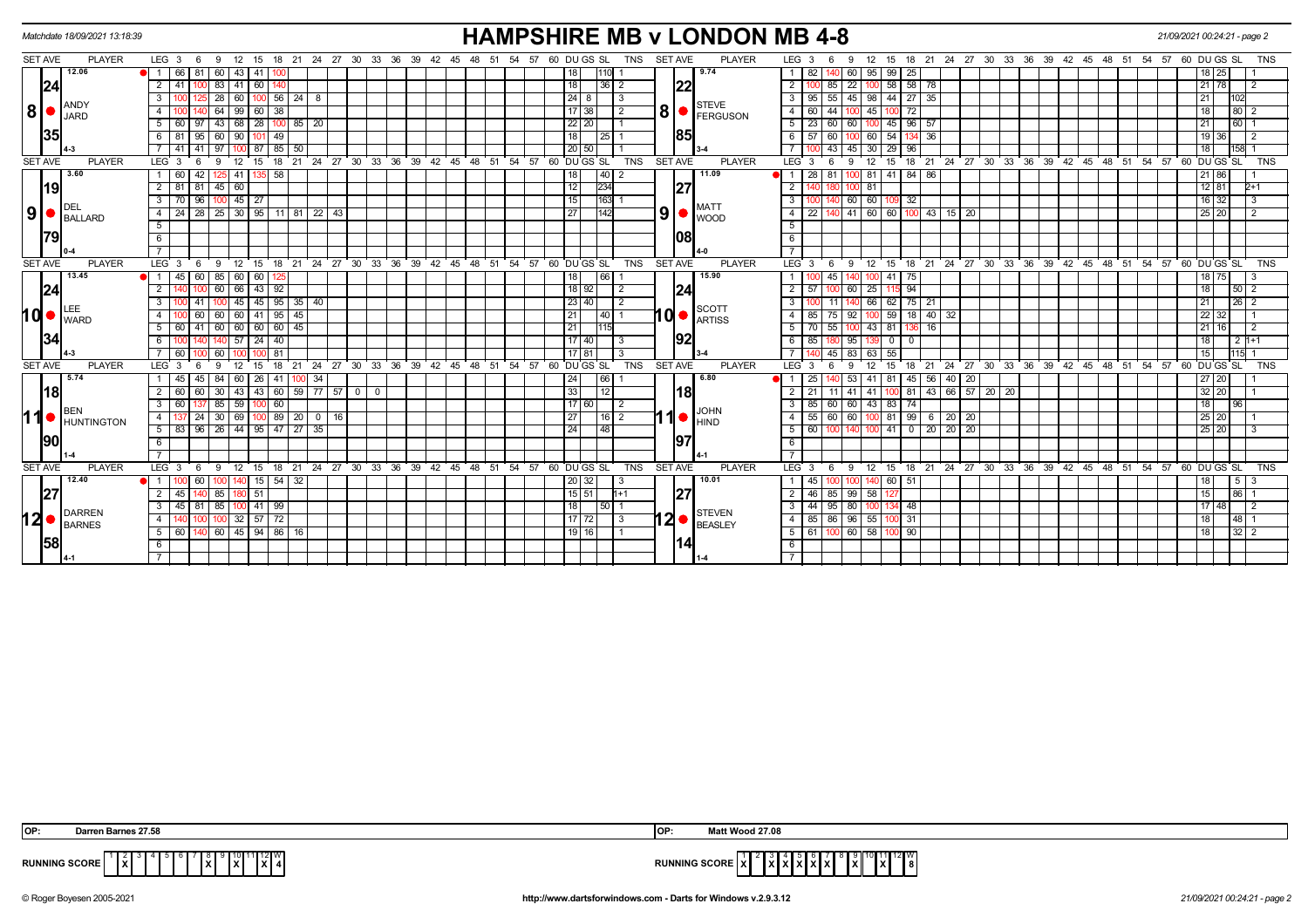|                |                | Matchdate 18/09/2021 13:18:39 |                              |       |                                        |                |             |                |       |                                        |  |  |    |                                                      |                 |             |                 |            |                |                                                                       | <b>HAMPSHIRE MB v LONDON MB 4-8</b> |                  |              |             |                                |                |                     |    |         |                   |  |                                       |                                                       |       |                         |                             | 21/09/2021 00:24:21 - page 2 |                |
|----------------|----------------|-------------------------------|------------------------------|-------|----------------------------------------|----------------|-------------|----------------|-------|----------------------------------------|--|--|----|------------------------------------------------------|-----------------|-------------|-----------------|------------|----------------|-----------------------------------------------------------------------|-------------------------------------|------------------|--------------|-------------|--------------------------------|----------------|---------------------|----|---------|-------------------|--|---------------------------------------|-------------------------------------------------------|-------|-------------------------|-----------------------------|------------------------------|----------------|
| <b>SET AVE</b> |                | <b>PLAYER</b>                 | $LEG_3 6$                    | - 9   | 12                                     |                |             |                |       | 15 18 21 24 27 30 33 36 39 42 45 48 51 |  |  |    | 54 57 60 DU GS SL                                    |                 |             |                 | <b>TNS</b> | <b>SET AVE</b> |                                                                       | <b>PLAYER</b>                       | LEG <sub>3</sub> |              |             | $12 \overline{ }$              | 15             |                     |    |         |                   |  |                                       | 18 21 24 27 30 33 36 39 42 45 48 51 54 57 60 DU GS SL |       |                         |                             |                              | <b>TNS</b>     |
|                |                | 12.06                         | 66                           | -81 I | 60 43 41                               |                | 100         |                |       |                                        |  |  |    |                                                      | 18              |             |                 |            |                |                                                                       | 9.74                                |                  | 82           |             | 95<br>60 I                     | 99             | 25                  |    |         |                   |  |                                       |                                                       |       |                         |                             | 25                           |                |
|                | 24             |                               | $\overline{2}$               |       | 83<br>41                               | 60             |             |                |       |                                        |  |  |    |                                                      | 18              |             | $36$   2        |            | 22             |                                                                       |                                     | $\overline{2}$   |              | 85          | 22 <sup>1</sup>                | 58             | $58$   78           |    |         |                   |  |                                       |                                                       |       |                         | 21 <sup>1</sup>             | 78                           | $\overline{2}$ |
|                |                | ANDY                          | $\mathbf{3}$                 |       | 28 60 100 56 24 8                      |                |             |                |       |                                        |  |  |    |                                                      | 24 8            |             | l 3             |            |                |                                                                       | <b>STEVE</b>                        |                  | 95           | 55          | 45 98 44 27 35                 |                |                     |    |         |                   |  |                                       |                                                       |       |                         | 21                          | 102                          |                |
| 8 •            |                | JARD                          | $\overline{4}$               |       | 64                                     | 99   60   38   |             |                |       |                                        |  |  |    |                                                      | 17 38           |             | $\overline{2}$  |            |                |                                                                       | $\mathbf{8}$ $\bullet$ Ferguson     |                  | 60           | 44          | 45                             |                | 72                  |    |         |                   |  |                                       |                                                       |       |                         | 18                          | 80                           |                |
|                |                |                               | $5\sqrt{ }$                  |       | 60   97   43   68   28   100   85   20 |                |             |                |       |                                        |  |  |    |                                                      | 22 20           |             |                 |            |                |                                                                       |                                     | $5 \mid 23$      |              | 60          | 60 100 45 96 57                |                |                     |    |         |                   |  |                                       |                                                       |       |                         | 21                          |                              |                |
|                | 35             |                               | -81<br>61                    | 95    | 60                                     | 90   101       | 49          |                |       |                                        |  |  |    |                                                      | 18              | 25 I        |                 |            | 185            |                                                                       |                                     |                  | 57           | 60          | 60                             | 54             | 134 36              |    |         |                   |  |                                       |                                                       |       |                         | 19                          | 36                           | $\overline{2}$ |
|                |                |                               | 41                           | 41    | 97                                     |                | 87 85 50    |                |       |                                        |  |  |    |                                                      | 20 50           |             |                 |            |                |                                                                       |                                     |                  | $100$ 43     |             | $45 \overline{\smash{)}30}$    | 29             | 96                  |    |         |                   |  |                                       |                                                       |       |                         | 18                          | $158$ 1                      |                |
|                | <b>SET AVE</b> | <b>PLAYER</b>                 | LEG <sup>3</sup>             | -6    | 9<br>12                                | - 15           | 18          | 21             |       |                                        |  |  |    | 24 27 30 33 36 39 42 45 48 51 54 57                  |                 | 60 DU GS SL | <b>TNS</b>      |            | <b>SET AVE</b> |                                                                       | <b>PLAYER</b>                       | LEG <sub>3</sub> |              | 9<br>-6     | 12                             | 15             |                     |    |         |                   |  | 18 21 24 27 30 33 36 39 42 45 48 51   |                                                       |       | $54$ $57$ $60$ DU GS SL |                             |                              | <b>TNS</b>     |
|                |                | 3.60                          | 60                           | 42    | 125 41                                 | $135$ 58       |             |                |       |                                        |  |  |    |                                                      | 18              |             | 40 2            |            |                |                                                                       | 11.09                               | 11               | $28 \mid 81$ |             | 100 81 41 84 86                |                |                     |    |         |                   |  |                                       |                                                       |       |                         | $21 \ 86$                   |                              |                |
|                | 19             |                               | 2 <sup>1</sup><br>81         |       | 81 45 60                               |                |             |                |       |                                        |  |  |    |                                                      | 12              | 234         |                 |            | 27             |                                                                       |                                     | $\overline{2}$   |              |             | 81                             |                |                     |    |         |                   |  |                                       |                                                       |       |                         | $12$ 81                     |                              | $2+1$          |
|                |                |                               | 3 <sup>1</sup><br>70         | 96    | $100$ 45 $27$                          |                |             |                |       |                                        |  |  |    |                                                      | 15              |             | 163 1           |            |                |                                                                       | <b>MATT</b>                         | -3 I             |              |             | 60 60                          | 109            | 32                  |    |         |                   |  |                                       |                                                       |       |                         | $16 \overline{\smash{)}32}$ |                              | -3             |
|                |                | $9$ $\bullet$ BALLARD         | 4 24 28 25 30 35 11 81 22 43 |       |                                        |                |             |                |       |                                        |  |  |    |                                                      | 27              | 142         |                 |            |                |                                                                       |                                     | $4 \mid 22$      |              | 140         | 41 60 60 100 43 15 20          |                |                     |    |         |                   |  |                                       |                                                       |       |                         | $25$ 20                     |                              | $\overline{2}$ |
|                |                |                               | 5                            |       |                                        |                |             |                |       |                                        |  |  |    |                                                      |                 |             |                 |            |                |                                                                       |                                     | 5                |              |             |                                |                |                     |    |         |                   |  |                                       |                                                       |       |                         |                             |                              |                |
|                | 1791           |                               | 6                            |       |                                        |                |             |                |       |                                        |  |  |    |                                                      |                 |             |                 |            | 108            |                                                                       |                                     | 6                |              |             |                                |                |                     |    |         |                   |  |                                       |                                                       |       |                         |                             |                              |                |
|                |                |                               | $\overline{7}$               |       |                                        |                |             |                |       |                                        |  |  |    |                                                      |                 |             |                 |            |                |                                                                       |                                     |                  |              |             |                                |                |                     |    |         |                   |  |                                       |                                                       |       |                         |                             |                              |                |
| <b>SET AVE</b> |                | <b>PLAYER</b>                 | LEG <sub>3</sub>             | - 6   | -9                                     | $12 \quad 15$  |             |                |       |                                        |  |  |    | 18 21 24 27 30 33 36 39 42 45 48 51 54 57 60 DUGS SL |                 |             | <b>TNS</b>      |            | <b>SET AVE</b> |                                                                       | <b>PLAYER</b>                       | $LEG^{\prime}$ 3 |              | -9<br>- 6   | $^{\circ}$ 12                  | 15             |                     |    |         |                   |  |                                       | 18 21 24 27 30 33 36 39 42 45 48 51 54 57 60 DUGS SL  |       |                         |                             |                              | <b>TNS</b>     |
|                |                | 13.45                         | 45<br>$\blacksquare$ 1       | 60    | 85   60   60                           |                | 125         |                |       |                                        |  |  |    |                                                      | 18              | 66          |                 |            |                |                                                                       | 15.90                               |                  |              | 45          |                                | 100 41         | 75                  |    |         |                   |  |                                       |                                                       |       |                         | 18 75                       |                              | -3             |
|                | 24             |                               | $\overline{2}$               |       | $60 \ 66 \ 43 \ 92$                    |                |             |                |       |                                        |  |  |    |                                                      | 18 92           |             | $\overline{12}$ |            | 24             |                                                                       |                                     | $2 \mid 57$      |              | l 100       | 60 25 115                      |                | 94                  |    |         |                   |  |                                       |                                                       |       |                         | $\overline{18}$             | 50 <sub>2</sub>              |                |
|                |                |                               | 3                            |       | 45                                     |                |             | $145$ 95 35 40 |       |                                        |  |  |    |                                                      | 23   40         |             | l 2             |            |                |                                                                       | <b>SCOTT</b>                        |                  |              |             | 66                             | 62             | $75$   21           |    |         |                   |  |                                       |                                                       |       |                         | 21                          | $26 \mid 2$                  |                |
| I d  ●         |                | <b>I</b> WARD                 | $\overline{4}$               | 60    | $60 \mid 60 \mid 41 \mid 95 \mid 45$   |                |             |                |       |                                        |  |  |    |                                                      | 21              |             | $140$ 1         |            |                |                                                                       | $10 \bullet \text{R}^{\text{SUSY}}$ | 4 I              | 85           | 75          | $92$ 100 59 18 40 32           |                |                     |    |         |                   |  |                                       |                                                       |       |                         | 22 32                       |                              |                |
|                |                |                               | 5<br>60                      | 41 I  | 60 60 60 60 45                         |                |             |                |       |                                        |  |  |    |                                                      | 21              | 115         |                 |            |                |                                                                       |                                     |                  | 70           | 55          |                                | 43 81          | 136 16              |    |         |                   |  |                                       |                                                       |       |                         | 21                          | 16                           | $\overline{2}$ |
|                | 34             |                               | 6                            |       |                                        | $57$   24   40 |             |                |       |                                        |  |  |    |                                                      | 17 40           |             | l 3             |            | 92             |                                                                       |                                     | 6                | 85 18        |             | 95                             | $\overline{0}$ | $\overline{0}$      |    |         |                   |  |                                       |                                                       |       |                         | 18                          | $2 1+1 $                     |                |
|                |                |                               | 60                           |       | 60                                     |                | 81          |                |       |                                        |  |  |    |                                                      | 17 81           |             | -3              |            |                |                                                                       |                                     |                  |              | 45          | 83<br>63                       | 55             |                     |    |         |                   |  |                                       |                                                       |       |                         | 15                          | 115                          |                |
|                | <b>SET AVE</b> | <b>PLAYER</b>                 | LEG <sub>3</sub>             |       |                                        | -15            | 18<br>21    |                | 24 27 |                                        |  |  |    | 30 33 36 39 42 45 48 51 54 57                        |                 | 60 DU GS SL | <b>TNS</b>      |            | <b>SET AVE</b> |                                                                       | <b>PLAYER</b>                       | LEG <sup>3</sup> |              |             | $12 \overline{ }$              | 15             | $^{\circ}$ 21<br>18 |    |         |                   |  |                                       | 24 27 30 33 36 39 42 45 48 51 54 57                   |       |                         |                             | 60 DU GS SL                  | <b>TNS</b>     |
|                |                | 5.74                          | 45                           |       | 84                                     | 60   26   41   |             | $100$ 34       |       |                                        |  |  |    |                                                      | 24              | 66          |                 |            |                |                                                                       | 6.80                                |                  | 25           |             | 53 <sub>1</sub><br>41          | 81             | 45   56             |    | 40   20 |                   |  |                                       |                                                       |       |                         | 27 20                       |                              |                |
|                | 18             |                               | 2 <sup>1</sup><br>60         |       | 30<br>43                               | 43   60        |             | 59 77 57       |       | $0$ 0                                  |  |  |    |                                                      | 33              | 12          |                 |            | <u> 18</u>     |                                                                       |                                     | 2 <sup>1</sup>   | 21           |             | 41 I<br>41                     |                |                     |    |         | 81 43 66 57 20 20 |  |                                       |                                                       |       |                         | 32 20                       |                              |                |
|                |                | BEN                           | 3 I<br>60                    |       | 85 59 100 60                           |                |             |                |       |                                        |  |  |    |                                                      | $117$ 60        |             | l 2             |            |                |                                                                       | <b>JOHN</b>                         | 3 I              | 85           | 60 60 43 83 |                                |                | l 74 l              |    |         |                   |  |                                       |                                                       |       |                         |                             | 96                           |                |
| ∣1             |                | HUNTINGTON                    | $\overline{4}$               | 24    | 30<br>69                               |                | $\sqrt{89}$ | $20$ 0 16      |       |                                        |  |  |    |                                                      | 27              |             | 16 2            |            |                | $\bullet$ $\overline{I}$ $\overline{I}$ $\overline{I}$ $\overline{I}$ |                                     | $\overline{4}$   | 55           | 60          | 60 100                         | 81             | 99<br>6             | 20 | 20      |                   |  |                                       |                                                       |       |                         | $\overline{25}$             | 20                           |                |
|                |                |                               | $5$ 83 96 26 44 95 47 27 35  |       |                                        |                |             |                |       |                                        |  |  |    |                                                      | $\overline{24}$ | 48          |                 |            |                |                                                                       |                                     | - 5 I            | 60           |             | $140$ $100$ $41$ 0 20 20 20 20 |                |                     |    |         |                   |  |                                       |                                                       |       |                         | 25 20                       |                              |                |
|                | 90             |                               | 6                            |       |                                        |                |             |                |       |                                        |  |  |    |                                                      |                 |             |                 |            | 97             |                                                                       |                                     | 6                |              |             |                                |                |                     |    |         |                   |  |                                       |                                                       |       |                         |                             |                              |                |
|                |                |                               |                              |       |                                        |                |             |                |       |                                        |  |  |    |                                                      |                 |             |                 |            |                |                                                                       |                                     |                  |              |             |                                |                |                     |    |         |                   |  |                                       |                                                       |       |                         |                             |                              |                |
| <b>SET AVE</b> |                | <b>PLAYER</b>                 | LEG <sub>3</sub>             | - 6   | -9                                     | 12 15 18 21    |             |                |       | 24 27 30 33 36 39 42 45 48             |  |  | 51 | 54 57                                                |                 | 60 DU GS SL | TNS             |            | <b>SET AVE</b> |                                                                       | PLAYER                              | LEG <sub>3</sub> |              | - 6         |                                |                |                     |    |         |                   |  | 9 12 15 18 21 24 27 30 33 36 39 42 45 | 48 51                                                 | 54 57 |                         | 60 DU GS SL                 |                              | <b>TNS</b>     |
|                |                | 12.40                         | $\blacksquare$ 1             |       |                                        | $15$ 54        |             | 32             |       |                                        |  |  |    |                                                      | 20132           |             | - 3             |            |                |                                                                       | 10.01                               |                  | 45           |             | 140                            | 60             | 51                  |    |         |                   |  |                                       |                                                       |       |                         |                             | $5^{\circ}$                  |                |
|                | 27             |                               | $\overline{2}$<br>45         |       | 85                                     | -51            |             |                |       |                                        |  |  |    |                                                      | 15 51           |             | $11 + 1$        |            | 27             |                                                                       |                                     | 2 <sup>1</sup>   | 46           | 85          | 99 58                          |                |                     |    |         |                   |  |                                       |                                                       |       |                         | 15                          | 86                           |                |
|                |                | DARREN                        | $\mathbf{3}$<br>45 81        |       | 85                                     | $141$ 99       |             |                |       |                                        |  |  |    |                                                      | 18              |             | $50$   1        |            |                |                                                                       | <b>STEVEN</b>                       | 3 <sup>1</sup>   | 44           | 95          | 80 I<br>100                    |                | 48                  |    |         |                   |  |                                       |                                                       |       |                         | $17 \, 48$                  |                              | $\overline{2}$ |
|                |                | $12$ $\bullet$ $\beta$ BARNES | $4 \vert$                    |       | 32                                     | $57$   72      |             |                |       |                                        |  |  |    |                                                      | $17$ 72         |             | -3              |            |                |                                                                       | $12 \bullet$ BEASLEY                | 4 I              | 85           | 86          | 96 55                          |                | -31                 |    |         |                   |  |                                       |                                                       |       |                         |                             | 48                           |                |
|                |                |                               | $5 \ 60$                     |       | $60 \mid 45 \mid 94 \mid 86 \mid$      |                |             | 16 I           |       |                                        |  |  |    |                                                      | $19$ 16         |             |                 |            |                |                                                                       |                                     | $5 \mid 61$      |              |             | 60 58                          |                | 90                  |    |         |                   |  |                                       |                                                       |       |                         | 18                          | $32 \mid 2$                  |                |
|                | 58             |                               | 6                            |       |                                        |                |             |                |       |                                        |  |  |    |                                                      |                 |             |                 |            | 14             |                                                                       |                                     | 6                |              |             |                                |                |                     |    |         |                   |  |                                       |                                                       |       |                         |                             |                              |                |
|                |                |                               |                              |       |                                        |                |             |                |       |                                        |  |  |    |                                                      |                 |             |                 |            |                |                                                                       |                                     |                  |              |             |                                |                |                     |    |         |                   |  |                                       |                                                       |       |                         |                             |                              |                |

| IOP:<br>Darren Barnes 27.58                                                                   | <b>IOP</b><br>Matt Wood 27.08                                                             |
|-----------------------------------------------------------------------------------------------|-------------------------------------------------------------------------------------------|
| 2 I W<br><b>RUNNING SCORE</b><br>lxl<br>.<br>$\sim$ $\sim$ $\sim$<br>$\mathbf{L}$<br>. .<br>. | 1112<br>RUNN<br>$\mathbf{X}$<br>. .<br>NING SUURE   X   <br>1 A I<br>1 A B A B<br><b></b> |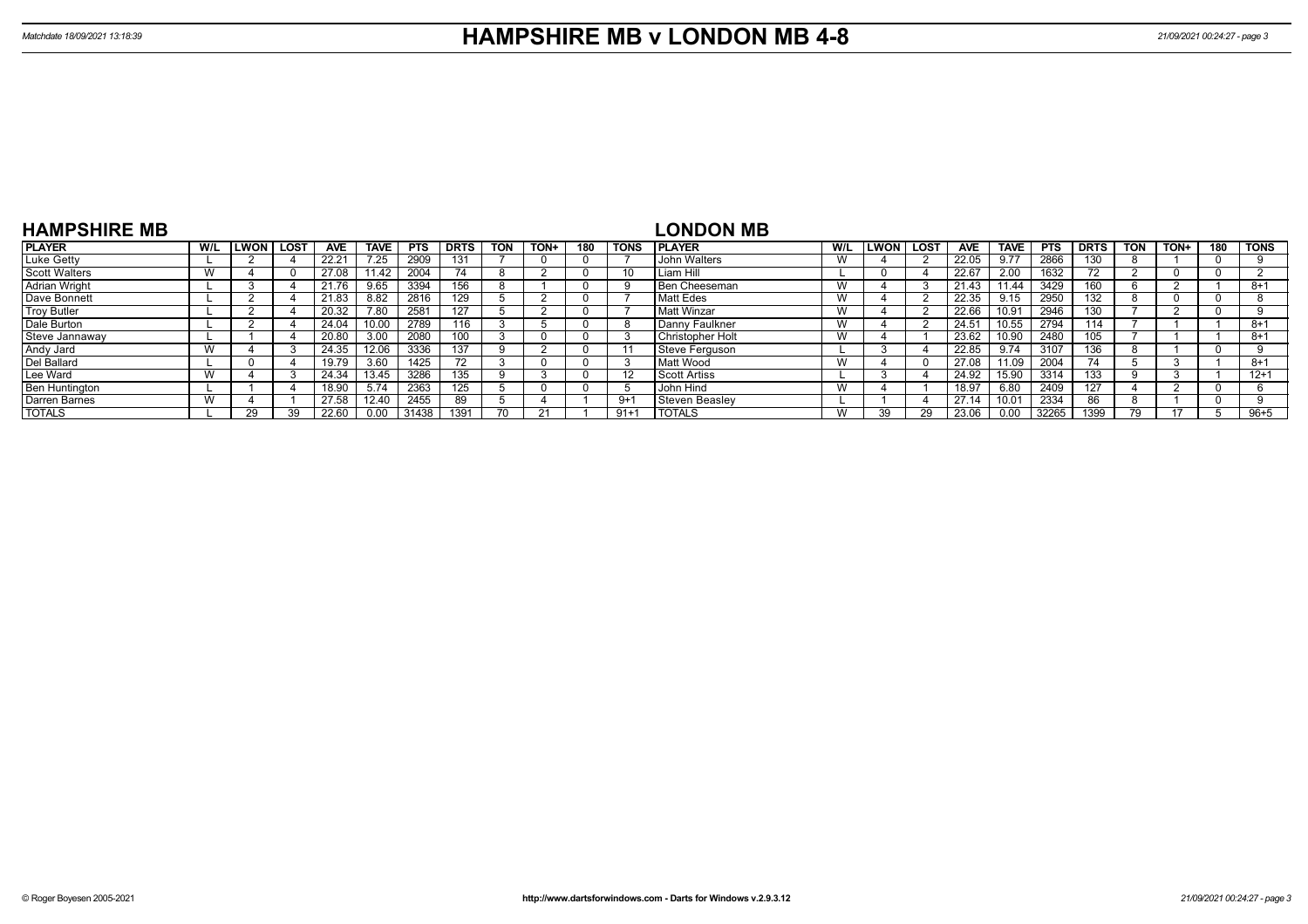| <b>HAMPSHIRE MB</b>  |     |              |             |       |             |            |              |            |      |     |             | <b>LONDON MB</b>      |     |      |        |            |             |            |             |            |       |     |             |
|----------------------|-----|--------------|-------------|-------|-------------|------------|--------------|------------|------|-----|-------------|-----------------------|-----|------|--------|------------|-------------|------------|-------------|------------|-------|-----|-------------|
| <b>PLAYER</b>        | W/L | <b>ILWON</b> | <b>LOST</b> | AVE   | <b>TAVE</b> | <b>PTS</b> | <b>DRTS</b>  | <b>TON</b> | TON+ | 180 | <b>TONS</b> | <b>PLAYER</b>         | W/L | LWON | l LOST | <b>AVE</b> | <b>TAVE</b> | <b>PTS</b> | <b>DRTS</b> | <b>TON</b> | TON+  | 180 | <b>TONS</b> |
| Luke Getty           |     |              |             | 22.21 | 7.25        | 2909       | $13^{\circ}$ |            |      |     |             | John Walters          | W   |      |        | 22.05      | 9.77        | 2866       | 130         |            |       |     |             |
| <b>Scott Walters</b> |     |              |             | 27.08 | 1.42        | 2004       |              |            |      |     |             | Liam Hill             |     |      |        | 22.67      | 2.00        | 1632       | 70          |            |       |     |             |
| <b>Adrian Wright</b> |     |              |             | 21.76 | 9.65        | 3394       | 156          |            |      |     |             | Ben Cheeseman         | W   |      |        | 21.43      | 11.44       | 3429       | 60          |            |       |     | $8 + 1$     |
| Dave Bonnett         |     |              |             | 21.83 | 8.82        | 2816       | 129          |            |      |     |             | Matt Edes             | W   |      |        | 22.35      | 9.15        | 2950       | 32          |            |       |     |             |
| <b>Troy Butler</b>   |     |              |             | 20.32 | 7.80        | 2581       | 127          |            |      |     |             | Matt Winzar           | W   |      |        | 22.66      | 10.91       | 2946       | 130         |            |       |     |             |
| Dale Burton          |     |              |             | 24.04 |             | 2789       | 116          |            |      |     | ŏ           | Danny Faulkner        | W   |      |        | 24.51      | 10.55       | 2794       | 114         |            |       |     | $8+1$       |
| Steve Jannaway       |     |              |             | 20.80 | 3.00        | 2080       | 100          |            |      |     |             | Christopher Holt      | W   |      |        | 23.62      | 10.90       | 2480       | 05          |            |       |     | $8 + 1$     |
| Andy Jard            |     |              |             | 24.35 | 12.06       | 3336       | 137          |            |      |     |             | <b>Steve Ferguson</b> |     |      |        | 22.85      | 9.74        | 3107       | 36ء         |            |       |     |             |
| Del Ballard          |     |              |             | 19.79 | 3.60        | 1425       | 72           |            |      |     |             | Matt Wood             | W   |      |        | 27.08      | 11.09       | 2004       | 74          |            |       |     | $8 + 1$     |
| Lee Ward             |     |              |             | 24.34 | 13.45       | 3286       | 135          |            |      |     |             | <b>Scott Artiss</b>   |     |      |        | 24.92      | 15.90       | 3314       | 133         |            |       |     | $12+1$      |
| Ben Huntington       |     |              |             | 18.90 | 5.74        | 2363       |              |            |      |     |             | John Hind             | W   |      |        | 18.97      | 6.80        | 2409       | 127         |            |       |     |             |
| Darren Barnes        |     |              |             | 27.58 | 12.40       | 2455       | 89           |            |      |     | $9+1$       | <b>Steven Beasley</b> |     |      |        | 27.14      | 10.01       | 2334       | 86          |            |       |     |             |
| <b>TOTALS</b>        |     | 29           | 39          | 22.60 | 0.00        | 31438      | 1391         | 70         |      |     | $91 + 7$    | <b>TOTALS</b>         | W   | 30   | 29     | 23.06      | 0.00        | 32265      | 1399        | 79         | $4 -$ |     | $96 + 5$    |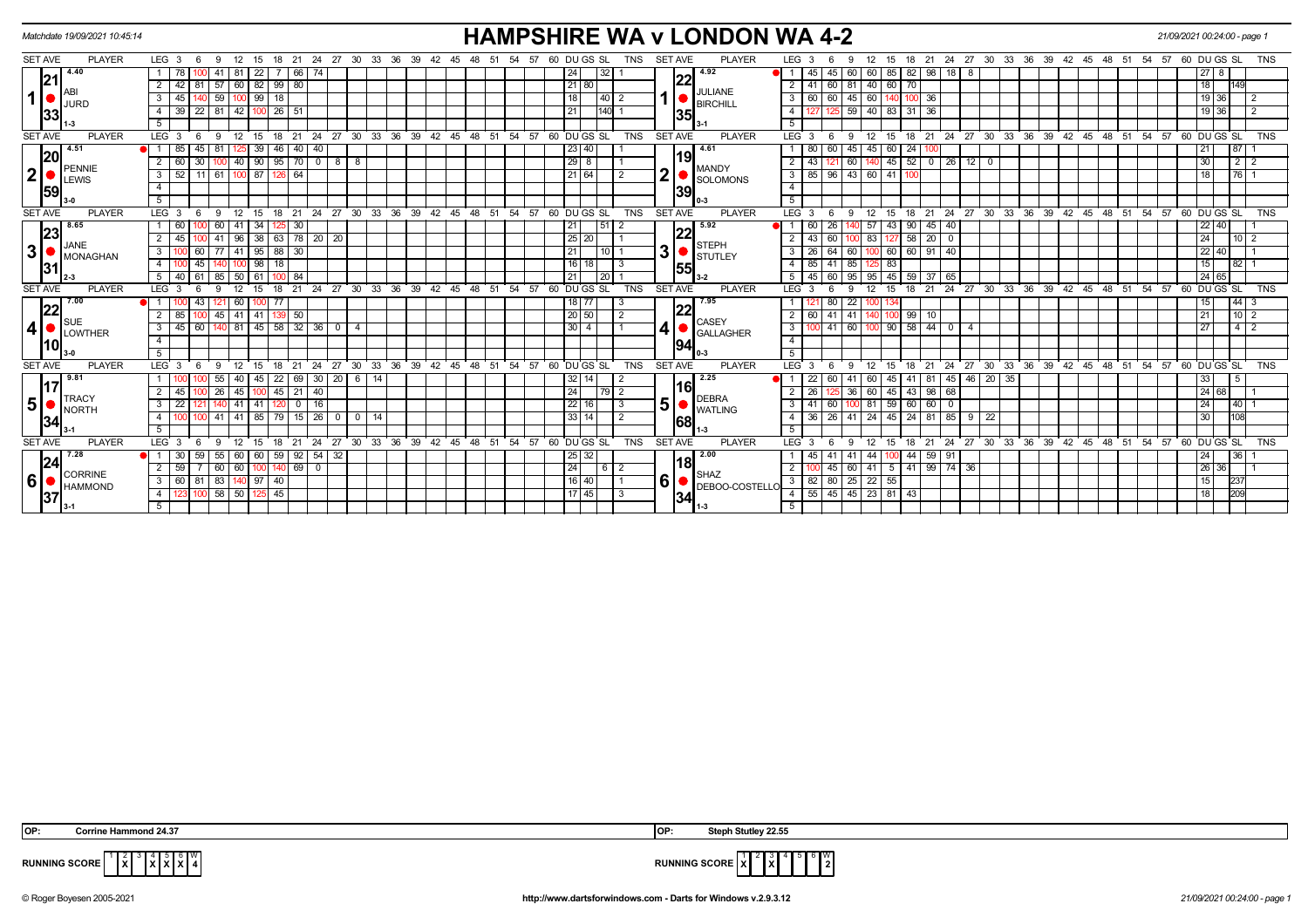|                | Matchdate 19/09/2021 10:45:14 |                                                                                      | <b>HAMPSHIRE WA v LONDON WA 4-2</b>                                              |                                 |                                                                                                             | 21/09/2021 00:24:00 - page 1                                               |
|----------------|-------------------------------|--------------------------------------------------------------------------------------|----------------------------------------------------------------------------------|---------------------------------|-------------------------------------------------------------------------------------------------------------|----------------------------------------------------------------------------|
| <b>SET AVE</b> | <b>PLAYER</b>                 | LEG <sub>3</sub><br>27 30 33 36 39 42<br>21<br>24<br>-9                              | 60 DU GS SL<br>57<br>TNS<br>- 45<br>48<br>- 51<br>- 54                           | PLAYER<br><b>SET AVE</b>        | LEG <sub>3</sub><br>24 27 30 33 36<br>39 42 45<br>21<br>48<br>- 51<br>-54<br>15<br>-18                      | 60 DU GS SL<br>57<br><b>TNS</b>                                            |
|                | 4.40<br> 21                   | 22<br>66<br>81   57   60   82   99   80<br>42                                        | 32<br>24<br>21 80                                                                | 4.92<br> 22                     | 45<br>45<br>60<br>60 85<br>82 98<br>18<br>- 8<br>  41   60   81   40   60   70  <br>$\overline{2}$          | 27<br>18<br>149                                                            |
| 1              |                               | $\sqrt{99}$<br> 18 <br>59<br>-3<br>45<br>100                                         | 40 2                                                                             | JULIANE                         | 60<br>45 60 140<br>$100$ 36<br>3                                                                            | $19$ :<br>$\overline{2}$<br>36                                             |
|                | <b>JURD</b><br> 33            | $142$   100   26   51<br>$22$ 81<br>39<br>4                                          | 140<br>21                                                                        | <b>BIRCHILL</b>                 | 59 40 83 31 36<br>4                                                                                         | 19 36<br>$\overline{2}$                                                    |
|                |                               | 5                                                                                    |                                                                                  | 35                              |                                                                                                             |                                                                            |
| <b>SET AVE</b> | <b>PLAYER</b>                 | LEG <sub>3</sub><br>12<br>15<br>21<br>-6<br>-9<br>18                                 | 24 27 30 33 36 39 42 45 48 51 54 57 60 DUGS SL<br>TNS                            | <b>SET AVE</b><br><b>PLAYER</b> | $LEG^{\cdot}$ 3<br>18 21 24 27 30 33 36 39 42 45 48 51 54 57 60 DUGS SL<br>$^{\circ}$ 12<br>15<br>9<br>-6   | <b>TNS</b>                                                                 |
|                | 4.51<br>20                    | 40<br>85<br>45 I<br>39<br>46<br>40                                                   | 23 40                                                                            | 4.61                            | 60<br>45<br>45 60<br>24 100                                                                                 | 87<br>21                                                                   |
|                | PENNIE                        | $\sqrt{90}$<br>$95$ 70 0 8 8<br>40<br>60<br>30 <sup>1</sup>                          | $29$ 8                                                                           | 19<br><b>MANDY</b>              | 140 45<br>$52$ 0 26 12 0<br>60                                                                              | 30                                                                         |
| $\mathbf{2}$   | <b>LEWIS</b>                  | 100 87 126 64<br>52<br>$11$ 61<br>3                                                  | 21 64                                                                            | ◠<br><b>SOLOMONS</b>            | 3   85   96   43   60   41   100                                                                            | $\begin{array}{c c c c c c} \hline \text{76} & \text{1} \end{array}$<br>18 |
|                | 59                            | $\overline{4}$                                                                       |                                                                                  | 39                              |                                                                                                             |                                                                            |
|                |                               | -5                                                                                   |                                                                                  |                                 |                                                                                                             |                                                                            |
| <b>SET AVE</b> | <b>PLAYER</b>                 | LEG <sub>3</sub><br>15<br>21<br>12<br>18                                             | 24 27 30 33 36 39 42 45 48 51 54 57 60 DUGS SL<br>TNS                            | <b>PLAYER</b><br><b>SET AVE</b> | 18 21 24 27 30 33 36 39 42 45 48 51 54 57 60 DUGS SL<br>$LEG \ 3$<br>15<br>12                               | <b>TNS</b>                                                                 |
|                | 8.65<br>23                    | 30<br>60<br>41<br>34<br>-60                                                          | 51                                                                               | 5.92<br> 22                     | 90   45   40<br>26<br>43                                                                                    | 22 40                                                                      |
|                | <b>JANE</b>                   | 63 78 20 20<br> 38 <br>$95$ 88 30                                                    | 25 20                                                                            | <b>STEPH</b>                    | $58$   20   0<br>60<br>127                                                                                  | 24<br>$10 \mid 2$                                                          |
| 3              | MONAGHAN                      | 3<br>41<br>60 I<br>98<br>18<br>45                                                    | 21<br>10 <sub>1</sub><br>$\overline{16}$   18                                    | 3<br>STUTLEY                    | 64<br>60 91 40<br>100 60  <br>3<br>60 I<br>41<br>$\overline{\phantom{0}}$ 83<br>85<br>$\overline{4}$<br>85  | 22<br>40 I<br>$82 \mid$ 1                                                  |
|                | 31                            | 50<br>-40<br>84<br>5                                                                 | 20<br>21                                                                         | 155                             | 60<br>45<br>$59$ 37 65                                                                                      | 24                                                                         |
| <b>SET AVE</b> | <b>PLAYER</b>                 | 33<br>27<br>30<br><b>LEG</b><br>21<br>24                                             | $\sqrt{36}$<br>$39 \t 42 \t 45$<br>$51$ 54 57<br>60 DU GS SL<br>48<br><b>TNS</b> | <b>SET AVE</b><br><b>PLAYER</b> | $\sqrt{27}$<br>$30\,33\,36$<br>$\overline{39}$ 42<br>$48$ 51 54<br>24<br>45<br>LEG <sup>3</sup><br>21<br>18 | $\overline{60}$ DU GS SL<br>57<br><b>TNS</b>                               |
|                | 17.00                         | 60<br>77                                                                             | $18$ $77$                                                                        | 7.95                            | 80<br>$22 \mid$<br>134                                                                                      | $44 \overline{\phantom{0}}3$<br>15                                         |
|                | 22                            | 41 41 139 50<br>85<br>45                                                             | 20 50                                                                            | 22                              | $99$ 10<br>41<br>41  <br>140 100<br>I 60 I<br>2                                                             | 21                                                                         |
| 4              | <b>SUE</b>                    | 45 58 32 36<br>60<br>140 81<br>45<br>$\overline{0}$<br>3<br>$\overline{a}$           | $30$   4                                                                         | CASEY<br>4                      | 601009058440<br>$\mathbf{3}$<br>41<br>4                                                                     | 27<br>$4 \mid 2$                                                           |
|                | <b>LOWTHER</b><br> 10         | 4                                                                                    |                                                                                  | <b>GALLAGHER</b><br> 94         | $\overline{4}$                                                                                              |                                                                            |
|                |                               | 5 <sup>5</sup>                                                                       |                                                                                  |                                 |                                                                                                             |                                                                            |
| <b>SET AVE</b> | <b>PLAYER</b>                 | LEG <sub>3</sub><br>$30^{\circ}$<br>33<br>12<br>21<br>24<br>27<br>6<br>9<br>15<br>18 | 36 39 42 45<br>54<br>60 DU GS SL<br><b>TNS</b><br>$48$ 51<br>57                  | <b>PLAYER</b><br><b>SET AVE</b> | $LEG^3$ 3<br>24 27 30 33 36 39 42 45<br>$48 \quad 51$<br>12<br>15<br>18<br>21<br>9                          | 54 57 60 DU GS SL<br><b>TNS</b>                                            |
|                | 9.81<br>17                    | 40<br>22<br>69 30<br>-14<br>45  <br>20 6<br>55                                       | 32   14                                                                          | 2.25                            | 41   81   45   46   20   35<br>60<br>45                                                                     | 33<br>5                                                                    |
|                | <b>TRACY</b>                  | 45   100<br>$45$   21   40<br>$\overline{2}$<br> 00 26<br>-45                        | 24<br> 79 2                                                                      | 1161<br><b>DEBRA</b>            | 43 98 68<br>$\overline{2}$<br>36   60   45<br>l 26                                                          | 24 68<br><b>11</b>                                                         |
| 5              | NORTH                         | $3 \mid 22$<br>140 41 41 120 0<br>$\overline{1}$ 16                                  | 22 16 <br>3                                                                      | 5<br><b>WATLING</b>             | $100$ 81 59 60 60 0<br>3   41   60                                                                          | 24                                                                         |
|                | 34                            | 100   41   41   85   79   15   26   0   0   14<br>$\overline{4}$                     | 33 14 <br>$\mathcal{P}$                                                          | 68                              | 4   36   26   41   24   45   24   81   85   9   22                                                          | 30<br>108                                                                  |
|                |                               | 5                                                                                    |                                                                                  | $11-3$                          | -5                                                                                                          |                                                                            |
| <b>SET AVE</b> | <b>PLAYER</b>                 | LEG <sub>3</sub><br>15<br>21<br>18                                                   | 24 27 30 33 36 39 42 45 48 51 54 57 60 DUGS SL<br>TNS                            | <b>PLAYER</b><br><b>SET AVE</b> | 18 21 24 27 30 33 36 39 42 45 48 51 54 57 60 DUGS SL<br>LEG <sup>3</sup><br>12<br>15<br>- 6<br>-9           | <b>TNS</b>                                                                 |
| 24             | 7.28                          | 60   59   92   54   32<br>-30<br>59<br>55<br>60                                      | $25 \mid 32$                                                                     | 2.00<br> 18                     | 44 59 91<br>44 I<br>41<br>-41<br>100                                                                        | 36 <br>24                                                                  |
|                | <b>CORRINE</b>                | 59<br>$140$ 69 0<br>60<br>60<br>2                                                    | 24<br>6                                                                          | <b>SHAZ</b>                     | 60 41 5 41 99 74 36<br>45<br>2                                                                              | 26<br>36                                                                   |
| 6              | <b>HAMMOND</b>                | $81 \mid 83$<br>$140$ 97 40<br>60<br>3                                               | 16 40                                                                            | 6<br>DEBOO-COSTELLO             | 3   82   80   25   22   55                                                                                  | 237<br>15                                                                  |
|                | 37                            | 58<br>50   125   45<br>$\overline{4}$<br>123<br>5 <sup>5</sup>                       | 17 45 <br>-3                                                                     | 34                              | 4   55   45   45   23   81   43  <br>- 5                                                                    | 209<br>18                                                                  |
|                |                               |                                                                                      |                                                                                  |                                 |                                                                                                             |                                                                            |

| IOP: | Hammond 24.37<br><b>∴orrine</b> | lop: | $-22.5$<br><b>Steph</b><br>Stutley<br>22.UL |
|------|---------------------------------|------|---------------------------------------------|

**RUNNING SCORE**  $\begin{bmatrix} 1 & 2 & 3 & 4 & 5 & 6 & W \\ & X & X & X & X & 4 & 5 & 6 \end{bmatrix}$ 

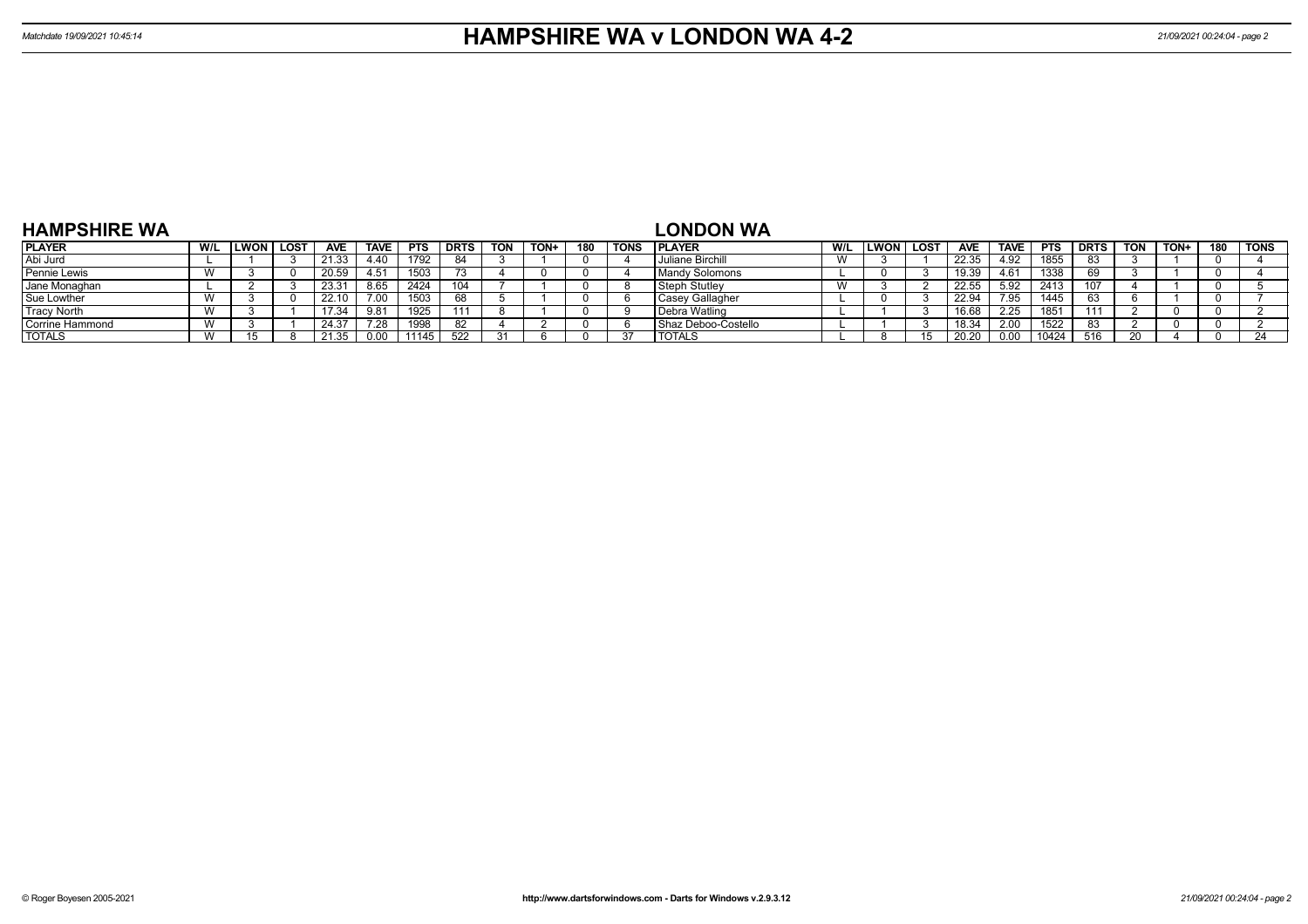| <b>HAMPSHIRE WA</b> |                |      |             |                   |             |            |             |            |             |     |             | <b>LONDON WA</b>      |     |             |      |            |             |            |             |            |     |     |             |
|---------------------|----------------|------|-------------|-------------------|-------------|------------|-------------|------------|-------------|-----|-------------|-----------------------|-----|-------------|------|------------|-------------|------------|-------------|------------|-----|-----|-------------|
| <b>PLAYER</b>       | W/L            | LWON | <b>LOST</b> | <b>AVE</b>        | <b>TAVE</b> | <b>PTS</b> | <b>DRTS</b> | <b>TON</b> | <b>TON+</b> | 180 | <b>TONS</b> | <b>IPLAYER</b>        | W/L | <b>LWON</b> | LOST | <b>AVE</b> | <b>TAVE</b> | <b>PTS</b> | <b>DRTS</b> | <b>TON</b> | TON | 180 | <b>TONS</b> |
| Abi Jurd            |                |      |             | 21.33             | 4.40        | 1792       | 84          |            |             |     |             | Juliane Birchill      |     |             |      | 22.35      | 4.92        | 1855       | 83          |            |     |     |             |
| Pennie Lewis        | $\overline{A}$ |      |             | 20.59             | 4.51        | 1503       |             |            |             |     |             | <b>Mandy Solomons</b> |     |             |      | 19.39      | 4.61        | 1338       |             |            |     |     |             |
| Jane Monaghan       |                |      |             | $23.3^{\circ}$    |             | 2424       | 104         |            |             |     |             | Steph Stutley         |     |             |      | 22.55      | 5.92        | 2413       |             |            |     |     |             |
| Sue Lowther         |                |      |             | 22.10             |             | 1503       | 68          |            |             |     |             | Casey Gallagher       |     |             |      | 22.94      | 7.95        | 1445       | 63          |            |     |     |             |
| <b>Tracy North</b>  | $\overline{A}$ |      |             | 7.34              |             | 1925       |             |            |             |     |             | Debra Watling         |     |             |      | 16.68      | 2.25        | 1851       |             |            |     |     |             |
| Corrine Hammond     |                |      |             | 24.37             | 28.         | 998        | 82          |            |             |     |             | I Shaz Deboo-Costello |     |             |      | 18.34      | 2.00        | 1522       | -83         |            |     |     |             |
| <b>TOTALS</b>       |                |      |             | 21.3 <sup>k</sup> |             | 11145      | 522         |            |             |     |             | <b>TOTALS</b>         |     |             |      | 20.20      |             | 10424      | 516         |            |     |     | 24          |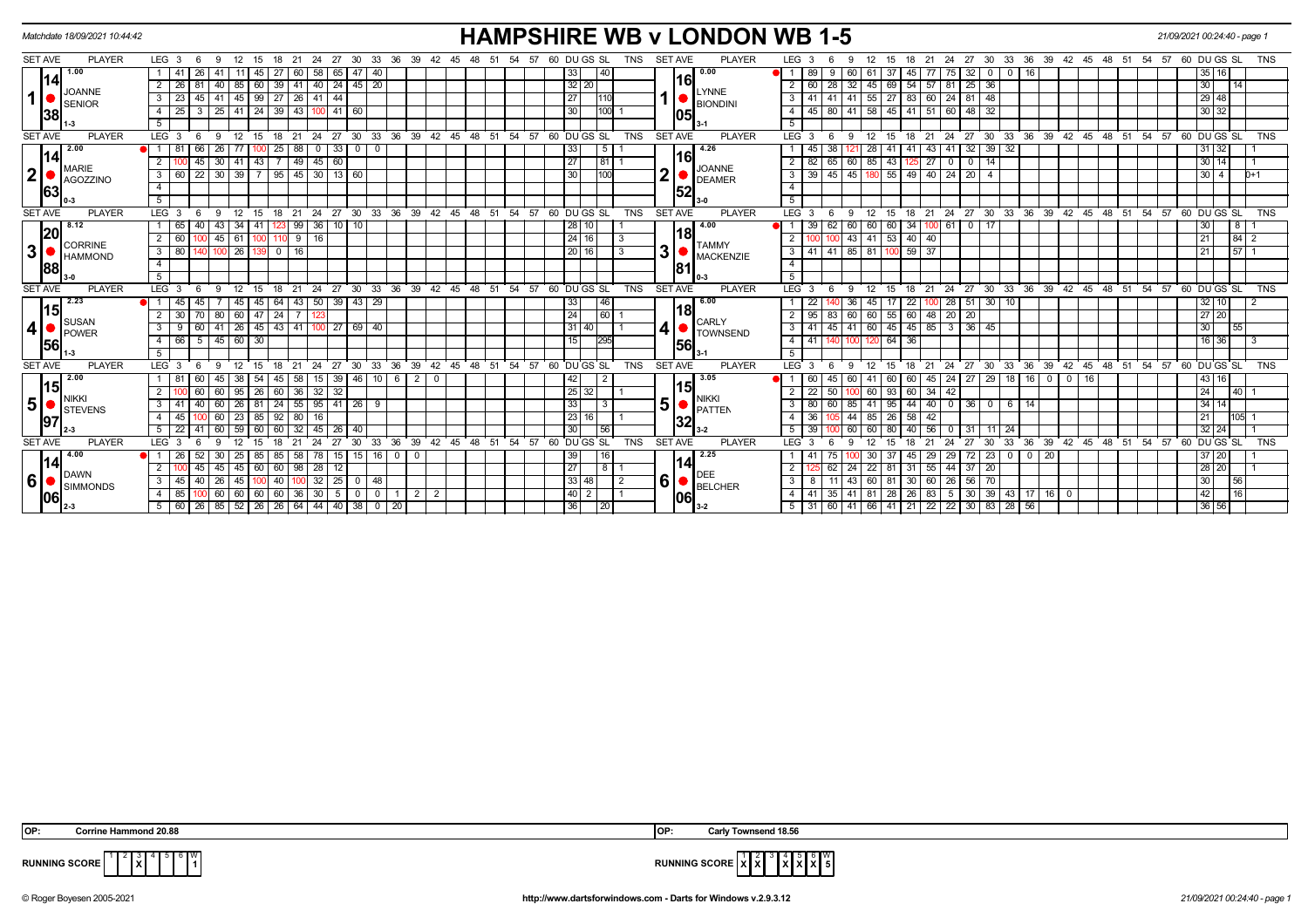|                  |    | Matchdate 18/09/2021 10:44:42 |                |                  |                                                     |              |      |                   |                            |         |                          |                |                |                |    |            |     |    |    |                                     |     |     |    |                 |                                                   |                |            |                |      | <b>HAMPSHIRE WB v LONDON WB 1-5</b> |                  |      |                                       |      |                      |                 |                                   |                                |                |                                        |               |                    |                 |    |          |     |                                                      | 21/09/2021 00:24:40 - page 1 |                 |            |
|------------------|----|-------------------------------|----------------|------------------|-----------------------------------------------------|--------------|------|-------------------|----------------------------|---------|--------------------------|----------------|----------------|----------------|----|------------|-----|----|----|-------------------------------------|-----|-----|----|-----------------|---------------------------------------------------|----------------|------------|----------------|------|-------------------------------------|------------------|------|---------------------------------------|------|----------------------|-----------------|-----------------------------------|--------------------------------|----------------|----------------------------------------|---------------|--------------------|-----------------|----|----------|-----|------------------------------------------------------|------------------------------|-----------------|------------|
| <b>SET AVE</b>   |    | <b>PLAYER</b>                 |                | LEG <sub>3</sub> |                                                     |              |      |                   |                            |         |                          |                | 30             | 33             | 36 | 39         | 42  |    |    |                                     | -54 | -57 |    |                 | 60 DU GS SL                                       |                | TNS        | <b>SET AVE</b> |      | <b>PLAYER</b>                       | LEG <sub>3</sub> |      |                                       |      |                      |                 |                                   | 27                             | 30             | 33                                     | 36            | 39                 | 42              | 45 | 48       | -54 | 57                                                   | 60 DU GS SL                  |                 | <b>TNS</b> |
|                  |    | 1.00                          |                |                  |                                                     |              |      |                   |                            |         |                          | 65             |                |                |    |            |     |    |    |                                     |     |     |    |                 | 40                                                |                |            |                |      | 0.00                                |                  |      |                                       |      |                      |                 |                                   | 32                             |                |                                        |               |                    |                 |    |          |     |                                                      | 16 <sup>1</sup><br>35 I      |                 |            |
|                  | 14 | <b>JOANNE</b>                 |                | 26               |                                                     |              | 85   | 60 I              | 39                         | 41      |                          |                | 40 24 45 20    |                |    |            |     |    |    |                                     |     |     |    | $32$ 20         |                                                   |                |            |                | 1161 |                                     |                  |      | 28<br>32                              | 45   | 69                   | 54              | $57$ $81$                         | 25                             | 36             |                                        |               |                    |                 |    |          |     |                                                      | 30                           | $\overline{14}$ |            |
| $\mathbf{1}$     |    | <b>SENIOR</b>                 | 3              | 23               | 45 I                                                | 41           | 45   |                   | 99   27   26   41   44     |         |                          |                |                |                |    |            |     |    |    |                                     |     |     |    | 27              |                                                   |                |            |                |      | <b>LYNNE</b><br><b>BIONDINI</b>     | 3                |      | 41<br>41                              |      | $55 \mid 27 \mid 83$ |                 | 60   24   81   48                 |                                |                |                                        |               |                    |                 |    |          |     |                                                      | 29 48                        |                 |            |
|                  | 38 |                               | 4              | 25               |                                                     | $25 \mid$    | l 41 |                   | 24   39   43   100         |         |                          | $41$ 60        |                |                |    |            |     |    |    |                                     |     |     |    | 30              | 100                                               |                |            |                | 105  |                                     | 4                |      | 80<br>41                              | 58   | $45 \mid 41$         |                 | 51 60                             | 48                             | 32             |                                        |               |                    |                 |    |          |     |                                                      | 30 32                        |                 |            |
|                  |    |                               | 5              |                  |                                                     |              |      |                   |                            |         |                          |                |                |                |    |            |     |    |    |                                     |     |     |    |                 |                                                   |                |            |                |      |                                     |                  |      |                                       |      |                      |                 |                                   |                                |                |                                        |               |                    |                 |    |          |     |                                                      |                              |                 |            |
| <b>SET AVE</b>   |    | <b>PLAYER</b>                 |                | LEG <sub>3</sub> | - 6                                                 | -9           | 12   | 15                | ີ 18                       | 21      |                          |                |                |                |    |            |     |    |    | 24 27 30 33 36 39 42 45 48 51 54 57 |     |     |    |                 | 60 DU GS SL                                       |                | <b>TNS</b> | <b>SET AVE</b> |      | <b>PLAYER</b>                       | $LEG^{\prime}$ 3 |      | - 6                                   | 12   | 15                   | 18              | 21                                | $24 \overline{27}$             |                |                                        |               |                    |                 |    |          |     | 30 33 36 39 42 45 48 51 54 57 60 DUGS SL             |                              |                 | TNS        |
|                  |    | 2.00                          |                | 81               | 66                                                  | 26           |      |                   | 25                         | 88      | $\overline{\phantom{0}}$ | 33             | $\mathbf 0$    | -0             |    |            |     |    |    |                                     |     |     |    | 33              | 5 <sup>1</sup>                                    |                |            |                |      | 4.26                                |                  |      | 38                                    | -28  | 41                   | 41              | 43   41                           | 32                             |                | $39 \mid 32$                           |               |                    |                 |    |          |     |                                                      | 31 32                        |                 |            |
|                  | 14 | <b>MARIE</b>                  |                |                  | 45 I                                                | 30           | 41   | 43                |                            |         | $49$   45                | 60             |                |                |    |            |     |    |    |                                     |     |     |    | 27              | 81                                                |                |            |                | 116  |                                     | 2 <sup>1</sup>   |      | 65<br>60                              | 85   | 43                   | -12             | $\overline{27}$                   | $\overline{0}$<br>$\mathbf{0}$ | 14             |                                        |               |                    |                 |    |          |     |                                                      | 30 14                        |                 |            |
| $2\vert$         |    | <b>AGOZZINO</b>               | $3^{\circ}$    | 60               | 22                                                  | $30 \mid 39$ |      |                   | 7   95   45   30   13   60 |         |                          |                |                |                |    |            |     |    |    |                                     |     |     |    | 30              | <b>100</b>                                        |                |            | $\mathbf{2}$   |      | <b>JOANNE</b><br><b>DEAMER</b>      | $3 \mid 39 \mid$ |      | 45                                    |      |                      |                 | 45   180   55   49   40   24   20 |                                | $\overline{4}$ |                                        |               |                    |                 |    |          |     |                                                      | $30 \mid 4$                  |                 | $D+1$      |
|                  | 63 |                               | $\overline{4}$ |                  |                                                     |              |      |                   |                            |         |                          |                |                |                |    |            |     |    |    |                                     |     |     |    |                 |                                                   |                |            |                | 52   |                                     | $\overline{4}$   |      |                                       |      |                      |                 |                                   |                                |                |                                        |               |                    |                 |    |          |     |                                                      |                              |                 |            |
|                  |    |                               | 5 <sup>5</sup> |                  |                                                     |              |      |                   |                            |         |                          |                |                |                |    |            |     |    |    |                                     |     |     |    |                 |                                                   |                |            |                |      |                                     | 5 <sup>1</sup>   |      |                                       |      |                      |                 |                                   |                                |                |                                        |               |                    |                 |    |          |     |                                                      |                              |                 |            |
| <b>SET AVE</b>   |    | <b>PLAYER</b>                 |                | $LEG \ 3$        | - 6                                                 | -9           | 12   | 15                | 18                         |         |                          |                |                |                |    |            |     |    |    |                                     |     |     |    |                 | 21 24 27 30 33 36 39 42 45 48 51 54 57 60 DUGS SL |                | <b>TNS</b> | <b>SET AVE</b> |      | <b>PLAYER</b>                       | LEG <sub>3</sub> |      | - 6<br>-9                             | 12   | 15                   |                 |                                   |                                |                |                                        |               |                    |                 |    |          |     | 18 21 24 27 30 33 36 39 42 45 48 51 54 57 60 DUGS SL |                              |                 | <b>TNS</b> |
|                  |    | 8.12                          |                | 65               | 40                                                  | 43           | .34  | 41                |                            | 99      | 36                       | $10$ 10        |                |                |    |            |     |    |    |                                     |     |     |    | 28 10           |                                                   |                |            |                |      | 4.00                                |                  |      | 62<br>60                              | 60   | 60 34                |                 | 100 61                            | $\mathbf{0}$                   | 17             |                                        |               |                    |                 |    |          |     |                                                      | 30                           | 8               |            |
|                  | 20 | CORRINE                       | <sup>2</sup>   | 60               |                                                     | $45$ 61      |      |                   | 100 110 9 16               |         |                          |                |                |                |    |            |     |    |    |                                     |     |     |    | 24 16           |                                                   |                |            |                | 118  | <b>TAMMY</b>                        |                  |      | 43                                    |      | 41 53 40 40          |                 |                                   |                                |                |                                        |               |                    |                 |    |          |     |                                                      | 21                           |                 |            |
| $\boldsymbol{3}$ |    | <b>HAMMOND</b>                | 3 I            | 80               |                                                     | 100 26       |      |                   | 0                          | 16      |                          |                |                |                |    |            |     |    |    |                                     |     |     |    | 20 16           |                                                   | 3              |            | 3 <sup>1</sup> |      | <b>MACKENZIE</b>                    |                  |      | 3 41 41 85 81 100 59 37               |      |                      |                 |                                   |                                |                |                                        |               |                    |                 |    |          |     |                                                      | 21                           | 15711           |            |
|                  | 88 |                               | $\overline{4}$ |                  |                                                     |              |      |                   |                            |         |                          |                |                |                |    |            |     |    |    |                                     |     |     |    |                 |                                                   |                |            |                | 81   |                                     |                  |      |                                       |      |                      |                 |                                   |                                |                |                                        |               |                    |                 |    |          |     |                                                      |                              |                 |            |
|                  |    |                               | 5              |                  |                                                     |              |      |                   |                            |         |                          |                |                |                |    |            |     |    |    |                                     |     |     |    |                 |                                                   |                |            |                |      |                                     |                  |      |                                       |      |                      |                 |                                   |                                |                |                                        |               |                    |                 |    |          |     |                                                      |                              |                 |            |
| <b>SET AVE</b>   |    | <b>PLAYER</b>                 |                | LEG <sub>3</sub> |                                                     |              |      |                   | 18                         | 21      | 24 27                    |                | 30             |                |    |            |     |    |    | 33 36 39 42 45 48 51 54 57          |     |     |    |                 | 60 DUGS SL                                        |                | <b>TNS</b> | <b>SET AVE</b> |      | <b>PLAYER</b>                       | LEG <sup>3</sup> |      |                                       |      | 15                   | 18              | 21<br>24                          | $\frac{1}{27}$                 |                |                                        |               |                    |                 |    |          |     | 30 33 36 39 42 45 48 51 54 57 60 DUGS SL             |                              |                 | <b>TNS</b> |
|                  | 15 | 2.23                          |                | 45               |                                                     |              | 45   | 45 I              | 64                         |         |                          |                | 43 50 39 43 29 |                |    |            |     |    |    |                                     |     |     |    | 33              | 46                                                |                |            |                |      | 6.00                                |                  |      | 36                                    |      |                      | 22              |                                   | 28                             |                | $51$ 30 10                             |               |                    |                 |    |          |     |                                                      | 32 10                        |                 |            |
|                  |    | SUSAN                         |                | 30               |                                                     | 80           | 60   | 47   24           |                            |         |                          |                |                |                |    |            |     |    |    |                                     |     |     |    | 24              | 60 I                                              |                |            |                | 18   | <b>CARLY</b>                        |                  |      | 83<br>60                              | 60   | 55                   | 60              | 48 20                             | $\sqrt{20}$                    |                |                                        |               |                    |                 |    |          |     |                                                      | 27 20                        |                 |            |
| 4                |    | POWER                         | $\mathbf{3}$   |                  |                                                     | 41           | 26   | $45 \mid 43 \mid$ |                            | 41      |                          | 27             | 69 40          |                |    |            |     |    |    |                                     |     |     |    | 31 40           |                                                   |                |            | 4              |      | <b>TOWNSEND</b>                     | 3                |      | 45<br>41                              | 60 I | 45                   | 45              | 85                                | $\sqrt{36}$<br>3               | 45             |                                        |               |                    |                 |    |          |     |                                                      | 30 <sup>1</sup>              | 55              |            |
|                  | 56 |                               | 4              | 66               | -5 I                                                | 45           | 60   | 30                |                            |         |                          |                |                |                |    |            |     |    |    |                                     |     |     |    |                 | 295                                               |                |            |                | 56   |                                     | 4                | l 41 |                                       |      | 64                   | 36              |                                   |                                |                |                                        |               |                    |                 |    |          |     |                                                      | 16 36                        |                 | -3         |
|                  |    |                               | 5              |                  |                                                     |              |      |                   |                            |         |                          |                |                |                |    |            |     |    |    |                                     |     |     |    |                 |                                                   |                |            |                |      |                                     | 5                |      |                                       |      |                      |                 |                                   |                                |                |                                        |               |                    |                 |    |          |     |                                                      |                              |                 |            |
| <b>SET AVE</b>   |    | <b>PLAYER</b>                 | <b>LEG</b>     |                  |                                                     |              |      |                   |                            |         |                          |                | 30             | 33             | 36 | 39         | 42  | 45 | 48 | 51                                  | 54  | 57  | 60 |                 | DU GS SL                                          |                | <b>TNS</b> | <b>SET AVE</b> |      | <b>PLAYER</b>                       | LEG <sup>'</sup> |      |                                       |      |                      |                 | 24                                | 27                             | 30             | 33                                     | 36            | 39                 | 42              | 45 | 48<br>51 | 54  | 57                                                   | 60 DU GS SL                  |                 | <b>TNS</b> |
|                  | 15 | 2.00                          |                |                  |                                                     |              | -38  |                   | 45                         | 58      | 15                       |                | $39 \mid 46$   | 10 I           |    | 6 2        | - 0 |    |    |                                     |     |     |    | 42              | 2                                                 |                |            |                | 1151 | 3.05                                |                  |      | 45<br>60                              |      |                      | 60              | 45 I                              | 24<br>27                       |                |                                        | $129$ 18 16 0 |                    | 0   16          |    |          |     |                                                      | 43   16                      |                 |            |
|                  |    | Inikki                        |                |                  |                                                     |              | 95   | <b>26</b>         | 60                         | 36      | $\sqrt{32}$              | 32             |                |                |    |            |     |    |    |                                     |     |     |    | $25 \mid 32$    |                                                   |                |            |                |      | <b>NIKKI</b>                        |                  |      | 50                                    | 60   | 93                   | 60              | $34 \mid 42$                      |                                |                |                                        |               |                    |                 |    |          |     |                                                      | 24                           | 40              |            |
| $5\vert$         |    | STEVENS                       | 3              | 41               |                                                     | 60           | 26   | 81                | 24                         | 55      | $\sqrt{95}$              |                | 41 26 9        |                |    |            |     |    |    |                                     |     |     |    | 33              | 3                                                 |                |            | 5              |      | <b>PATTEN</b>                       | 3                |      | 60<br>85                              |      | 95                   | 44              | 40 I                              | 36<br>$\mathbf{0}$             |                | $\begin{array}{c c} 0 & 6 \end{array}$ |               |                    |                 |    |          |     |                                                      | 34 14                        |                 |            |
|                  | 97 |                               |                | 45               |                                                     | 60           | 23   | 85                | 92                         | 80      | 16                       |                |                |                |    |            |     |    |    |                                     |     |     |    | 23 16           |                                                   |                |            |                | 32   |                                     |                  | 36   |                                       | 85 I | 26                   | 58              | 42                                |                                |                |                                        |               |                    |                 |    |          |     |                                                      |                              | 105             |            |
|                  |    |                               | 5              | 22               |                                                     |              | 59   |                   |                            |         | 45                       | 26             | 40             |                |    |            |     |    |    |                                     |     |     |    | 30              | 56                                                |                |            |                |      |                                     |                  |      | 60                                    |      |                      | 40              |                                   |                                |                | 11 $124$                               |               |                    |                 |    |          |     |                                                      | $32 \mid 24$                 |                 |            |
| <b>SET AVE</b>   |    | <b>PLAYER</b>                 | <b>LEG</b>     |                  |                                                     | ۰Q           | 12   |                   | 18                         | 21      | 24                       | 27             | 30             | 33             | 36 | 39         | 42  | 45 | 48 | 51                                  | 54  | 57  |    |                 | 60 DU GS SL                                       |                | <b>TNS</b> | <b>SET AVE</b> |      | <b>PLAYER</b>                       | $LEG$ 3          |      |                                       |      |                      | 18              | 24                                | 27                             | 30             | 33                                     | 36            | 39                 | $\overline{42}$ | 45 | 48<br>51 | 54  | 57                                                   | 60 DU GS SL                  |                 | <b>TNS</b> |
|                  | 14 | 4.00                          |                | 26               |                                                     | 30           | 25   | 85 I              | 85                         | 58      | l 78 I                   |                |                | $15$ 15 16 0 0 |    |            |     |    |    |                                     |     |     |    | 39              | 16                                                |                |            |                | 14   | 2.25                                |                  |      |                                       |      |                      | 45              | 29 I                              | 72<br>29                       |                |                                        | $\mathbf{0}$  | $\overline{20}$    |                 |    |          |     |                                                      | 37 20                        |                 |            |
|                  |    | <b>DAWN</b>                   | 2              |                  | 45                                                  | 45           | 45   | 60                | 60                         | 98      | $\overline{28}$          | 12             |                |                |    |            |     |    |    |                                     |     |     |    | $\overline{27}$ | छि                                                |                |            |                |      |                                     | 2                |      | 62                                    | 22   | 81                   | 31              | 55                                | $\overline{37}$<br>44          | 20             |                                        |               |                    |                 |    |          |     |                                                      | 28 20                        |                 |            |
| 6                |    | <b>SIMMONDS</b>               | 3 <sup>1</sup> | 45               | 40 I                                                | 26           | 45   |                   | 40                         |         | 32                       | 25             | $\mathbf 0$    | 48             |    |            |     |    |    |                                     |     |     |    | 33   48         |                                                   | $\overline{2}$ |            | 6              |      | <b>BELCHER</b>                      | 3 <sup>1</sup>   |      | 43<br>11                              | 60   | 81                   | 30 <sup>°</sup> | 60 26                             |                                | $56$   70      |                                        |               |                    |                 |    |          |     |                                                      | 30                           | 56              |            |
|                  | 06 |                               | 4 I            | 85               |                                                     | 60           | 60   | 60 60             |                            | 36   30 |                          | 5 <sup>1</sup> | $\mathbf 0$    | $\circ$ 1      |    | $1 \mid 2$ | 2   |    |    |                                     |     |     |    | 40 2            |                                                   |                |            |                | 106  |                                     |                  |      | 4 4 41 35 41 81 28 26 83 5            |      |                      |                 |                                   |                                |                |                                        |               | $30 39 43 17 16$ 0 |                 |    |          |     |                                                      | 42                           | 16              |            |
|                  |    |                               |                | $5 \mid 60$      | 26   85   52   26   26   64   44   40   38   0   20 |              |      |                   |                            |         |                          |                |                |                |    |            |     |    |    |                                     |     |     |    | 36              | 20                                                |                |            |                |      |                                     |                  |      | 5 31 60 41 66 41 21 22 22 30 83 28 56 |      |                      |                 |                                   |                                |                |                                        |               |                    |                 |    |          |     |                                                      | 36 56                        |                 |            |

**X**

 $6 \overline{) \frac{W}{1}}$ 



**RUNNING SCORE**